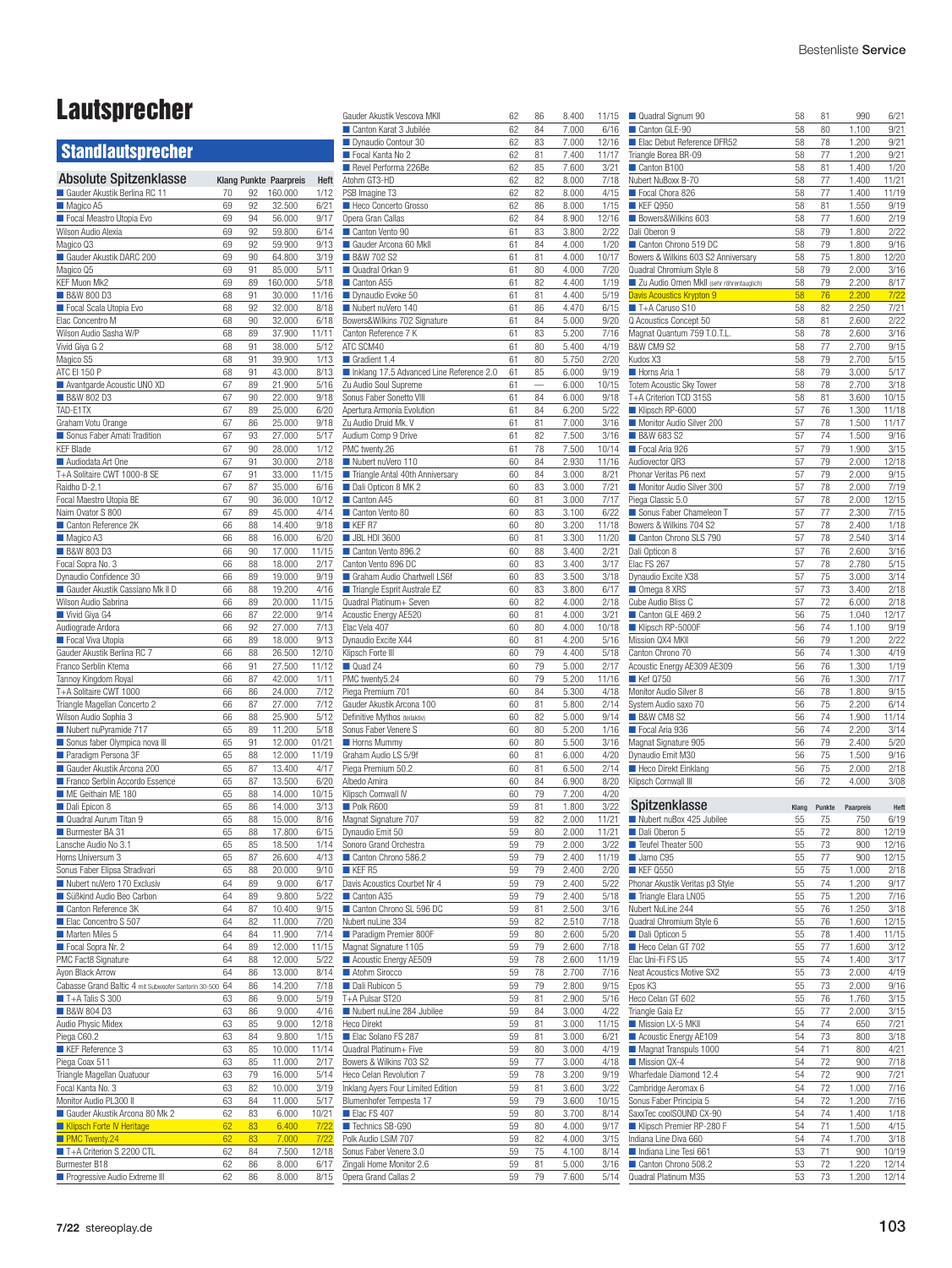## Lautsprecher

## **Standlautsprecher**

| <b>Absolute Spitzenklasse</b>                        |          |          | Klang Punkte Paarpreis | Heft           |
|------------------------------------------------------|----------|----------|------------------------|----------------|
| Gauder Akustik Berlina RC 11                         | 70       | 92       | 160.000                | 1/12           |
| Magico A5                                            | 69       | 92       | 32.500                 | 6/21           |
| Focal Meastro Utopia Evo                             | 69       | 94       | 56,000                 | 9/17           |
| Wilson Audio Alexia<br>Magico Q3                     | 69<br>69 | 92<br>92 | 59.800<br>59.900       | 6/14<br>9/13   |
| Gauder Akustik DARC 200                              | 69       | 90       | 64.800                 | 3/19           |
| Magico Q5                                            | 69       | 91       | 85.000                 | 5/11           |
| KEF Muon Mk2                                         | 69       | 89       | 160.000                | 5/18           |
| <b>B&amp;W 800 D3</b>                                | 68       | 91       | 30.000                 | 11/16          |
| Focal Scala Utopia Evo                               | 68       | 92       | 32.000                 | 8/18           |
| Elac Concentro M                                     | 68       | 90       | 32.000                 | 6/18           |
| Wilson Audio Sasha W/P                               | 68       | 89       | 37.900                 | 11/11          |
| Vivid Giya G 2                                       | 68       | 91       | 38.000                 | 5/12           |
| Magico S5<br>ATC EI 150 P                            | 68<br>68 | 91<br>91 | 39.900<br>43.000       | 1/13<br>8/13   |
| Avantgarde Acoustic UNO XD                           | 67       | 89       | 21.900                 | 5/16           |
| <b>B&amp;W 802 D3</b>                                | 67       | 90       | 22.000                 | 9/18           |
| TAD-E1TX                                             | 67       | 89       | 25.000                 | 6/20           |
| Graham Votu Orange                                   | 67       | 86       | 25.000                 | 9/18           |
| Sonus Faber Amati Tradition                          | 67       | 93       | 27.000                 | 5/17           |
| <b>KEF Blade</b>                                     | 67       | 90       | 28.000                 | 1/12           |
| Audiodata Art One                                    | 67       | 91       | 30.000                 | 2/18           |
| T+A Solitaire CWT 1000-8 SE                          | 67       | 91       | 33.000                 | 11/15          |
| Raidho D-2.1                                         | 67       | 87       | 35.000                 | 6/16           |
| Focal Maestro Utopia BE                              | 67       | 90       | 36.000                 | 10/12          |
| Naim Ovator S 800<br>Canton Reference 2K             | 67<br>66 | 89<br>88 | 45.000<br>14.400       | 4/14<br>9/18   |
| Magico A3                                            | 66       | 88       | 16.000                 | 6/20           |
| <b>B&amp;W 803 D3</b>                                | 66       | 90       | 17.000                 | 11/15          |
| Focal Sopra No. 3                                    | 66       | 88       | 18.000                 | 2/17           |
| Dynaudio Confidence 30                               | 66       | 89       | 19.000                 | 9/19           |
| Gauder Akustik Cassiano Mk II D                      | 66       | 88       | 19.200                 | 4/16           |
| Wilson Audio Sabrina                                 | 66       | 89       | 20.000                 | 11/15          |
| Vivid Giya G4                                        | 66       | 87       | 22.000                 | 9/14           |
| Audiograde Ardora                                    | 66       | 92       | 27.000                 | 7/13           |
| Focal Viva Utopia                                    | 66       | 89       | 18.000                 | 9/13           |
| Gauder Akustik Berlina RC 7                          | 66       | 88       | 26.500                 | 12/10<br>11/12 |
| Franco Serblin Ktema<br>Tannoy Kingdom Royal         | 66<br>66 | 91<br>87 | 27.500<br>42.000       | 1/11           |
| T+A Solitaire CWT 1000                               | 66       | 86       | 24.000                 | 7/12           |
| Triangle Magellan Concerto 2                         | 66       | 87       | 27.000                 | 7/12           |
| Wilson Audio Sophia 3                                | 66       | 88       | 25.900                 | 5/12           |
| Nubert nuPyramide 717                                | 65       | 89       | 11.200                 | 5/18           |
| Sonus faber Olympica nova III                        | 65       | 91       | 12.000                 | 01/21          |
| Paradigm Persona 3F                                  | 65       | 88       | 12.000                 | 11/19          |
| Gauder Akustik Arcona 200                            | 65       | 87       | 13.400                 | 4/17           |
| Franco Serblin Accordo Essence                       | 65       | 87       | 13.500                 | 6/20           |
| ME Geithain ME 180                                   | 65       | 88       | 14.000                 | 10/15          |
| Dali Epicon 8<br>Quadral Aurum Titan 9               | 65       | 86       | 14.000                 | 3/13           |
| Burmester BA 31                                      | 65<br>65 | 88<br>88 | 15.000<br>17.800       | 8/16<br>6/15   |
| Lansche Audio No 3.1                                 | 65       | 85       | 18.500                 | 1/14           |
| Horns Universum 3                                    | 65       | 87       | 26.600                 | 4/13           |
| Sonus Faber Elipsa Stradivari                        | 65       | 88       | 20.000                 | 9/10           |
| Nubert nuVero 170 Exclusiv                           | 64       | 89       | 9.000                  | 6/17           |
| Süßkind Audio Beo Carbon                             | 64       | 89       | 9.800                  | 5/22           |
| Canton Reference 3K                                  | 64       | 87       | 10.400                 | 9/15           |
| Elac Concentro S 507                                 | 64       | 82       | 11.000                 | 7/20           |
| Marten Miles 5                                       | 64       | 84       | 11.900                 | 7/14           |
| Focal Sopra Nr. 2                                    | 64       | 89       | 12.000                 | 11/15          |
| PMC Fact8 Signature<br>Ayon Black Arrow              | 64       | 88       | 12.000                 | 5/22           |
| Cabasse Grand Baltic 4 mit Subwoofer Santorin 30-500 | 64<br>64 | 86<br>86 | 13.000<br>14.200       | 8/14<br>7/18   |
| $\blacksquare$ T+A Talis S 300                       | 63       | 86       | 9.000                  | 5/19           |
| <b>B&amp;W 804 D3</b>                                | 63       | 86       | 9.000                  | 4/16           |
| Audio Physic Midex                                   | 63       | 85       | 9.000                  | 12/18          |
| Piega C60.2                                          | 63       | 84       | 9.800                  | 1/15           |
| KEF Reference 3                                      | 63       | 85       | 10.000                 | 11/14          |
| Piega Coax 511                                       | 63       | 85       | 11.000                 | 2/17           |
| Triangle Magellan Quatuour                           | 63       | 79       | 16.000                 | 5/14           |
| Focal Kanta No. 3                                    | 63       | 82       | 10.000                 | 3/19           |
| Monitor Audio PL300 II                               | 63       | 84       | 11.000                 | 5/17           |
| Gauder Akustik Arcona 80 Mk 2                        | 62       | 83       | 6.000                  | 10/21          |
| Klipsch Forte IV Heritage                            | 62       | 83       | 6.400                  | 7/22           |
| PMC Twenty.24<br>T+A Criterion S 2200 CTL            | 62<br>62 | 83<br>84 | 7.000<br>7.500         | 7/22<br>12/18  |
| Burmester B18                                        | 62       | 86       | 8.000                  | 6/17           |
| Progressive Audio Extreme III                        | 62       | 86       | 8.000                  | 8/15           |

| Gauder Akustik Vescova MKII              | 62 | 86 | 8.400 | 11/15 |
|------------------------------------------|----|----|-------|-------|
| Canton Karat 3 Jubilée                   | 62 | 84 | 7.000 | 6/16  |
| Dynaudio Contour 30                      | 62 | 83 | 7.000 | 12/16 |
| Focal Kanta No 2                         | 62 | 81 | 7.400 | 11/17 |
| Revel Performa 226Be                     | 62 | 85 | 7.600 | 3/21  |
|                                          |    |    |       |       |
| Atohm GT3-HD                             | 62 | 82 | 8.000 | 7/18  |
| PSB Imagine T3                           | 62 | 82 | 8.000 | 4/15  |
| Heco Concerto Grosso                     | 62 | 86 | 8.000 | 1/15  |
| Opera Gran Callas                        | 62 | 84 | 8.900 | 12/16 |
| Canton Vento 90                          | 61 | 83 | 3.800 | 2/22  |
| Gauder Arcona 60 Mkll                    | 61 | 84 | 4.000 | 1/20  |
|                                          |    |    |       |       |
| <b>B&amp;W 702 S2</b>                    | 61 | 81 | 4.000 | 10/17 |
| Quadral Orkan 9                          | 61 | 80 | 4.000 | 7/20  |
| Canton A55                               | 61 | 82 | 4.400 | 1/19  |
| Dynaudio Evoke 50                        | 61 | 81 | 4.400 | 5/19  |
| Nubert nuVero 140                        | 61 | 86 | 4.470 | 6/15  |
| Bowers&Wilkins 702 Signature             | 61 | 84 | 5.000 | 9/20  |
| Canton Reference 7 K                     | 61 | 83 | 5.200 | 7/16  |
|                                          |    |    |       |       |
| ATC SCM40                                | 61 | 80 | 5.400 | 4/19  |
| Gradient 1.4                             | 61 | 80 | 5.750 | 2/20  |
| Inklang 17.5 Advanced Line Reference 2.0 | 61 | 85 | 6.000 | 9/19  |
| Zu Audio Soul Supreme                    | 61 |    | 6.000 | 10/15 |
| Sonus Faber Sonetto VIII                 | 61 | 84 | 6.000 | 9/18  |
| Apertura Armonia Evolution               | 61 | 84 | 6.200 | 5/22  |
| Zu Audio Druid Mk. V                     | 61 | 81 | 7.000 | 3/16  |
|                                          |    |    |       |       |
| Audium Comp 9 Drive                      | 61 | 82 | 7.500 | 3/16  |
| PMC twenty.26                            | 61 | 78 | 7.500 | 10/14 |
| Nubert nuVero 110                        | 60 | 84 | 2.930 | 11/16 |
| Triangle Antal 40th Anniversary          | 60 | 84 | 3.000 | 8/21  |
| Dali Opticon 8 MK 2                      | 60 | 83 | 3.000 | 7/21  |
| Canton A45                               | 60 | 81 | 3.000 | 7/17  |
|                                          |    |    |       |       |
| Canton Vento 80                          | 60 | 83 | 3.100 | 6/22  |
| <b>KEF R7</b>                            | 60 | 80 | 3.200 | 11/18 |
| <b>JBL HDI 3600</b>                      | 60 | 81 | 3.300 | 11/20 |
| Canton Vento 896.2                       | 60 | 88 | 3.400 | 2/21  |
| Canton Vento 896 DC                      | 60 | 83 | 3.400 | 3/17  |
| Graham Audio Chartwell LS6f              | 60 | 83 | 3.500 | 3/18  |
|                                          |    |    |       |       |
| Triangle Esprit Australe EZ              | 60 | 83 | 3.800 | 6/17  |
| Quadral Platinum+ Seven                  | 60 | 82 | 4.000 | 2/18  |
| Acoustic Energy AE520                    | 60 | 81 | 4.000 | 3/21  |
| Elac Vela 407                            | 60 | 80 | 4.000 | 10/18 |
| Dynaudio Excite X44                      | 60 | 81 | 4.200 | 5/16  |
|                                          |    |    |       |       |
|                                          |    |    |       |       |
| Klipsch Forte III                        | 60 | 79 | 4.400 | 5/18  |
| Quad Z4                                  | 60 | 79 | 5.000 | 2/17  |
| PMC twenty5.24                           | 60 | 79 | 5.200 | 11/16 |
| Piega Premium 701                        | 60 | 84 | 5.300 | 4/18  |
| Gauder Akustik Arcona 100                | 60 | 81 | 5.800 | 2/14  |
| Definitive Mythos (teilaktiv)            | 60 | 82 | 5.000 | 9/14  |
|                                          | 60 | 80 |       | 1/16  |
| Sonus Faber Venere S                     |    |    | 5.200 |       |
| Horns Mummy                              | 60 | 80 | 5.500 | 3/16  |
| Graham Audio LS 5/9f                     | 60 | 81 | 6.000 | 4/20  |
| Piega Premium 50.2                       | 60 | 81 | 6.500 | 2/14  |
| Albedo Amira                             | 60 | 84 | 6.900 | 8/20  |
| Klipsch Cornwall IV                      | 60 | 79 | 7.200 | 4/20  |
| Polk R600                                | 59 | 81 | 1.800 | 3/22  |
|                                          |    |    |       |       |
| Magnat Signature 707                     | 59 | 82 | 2.000 | 11/21 |
| Dynaudio Emit 50                         | 59 | ŏU | 2.000 | 11/21 |
| Sonoro Grand Orchestra                   | 59 | 79 | 2.000 | 3/22  |
| Canton Chrono 586.2                      | 59 | 79 | 2.400 | 11/19 |
| <b>KEF R5</b>                            | 59 | 79 | 2.400 | 2/20  |
| Davis Acoustics Courbet Nr 4             | 59 | 79 | 2.400 | 5/22  |
| Canton A35                               | 59 | 79 | 2.400 | 5/18  |
| Canton Chrono SL 596 DC                  | 59 | 81 | 2.500 | 3/16  |
|                                          |    |    |       |       |
| Nubert nuLine 334                        | 59 | 82 | 2.510 | 7/18  |
| Paradigm Premier 800F                    | 59 | 80 | 2.600 | 5/20  |
| Magnat Signature 1105                    | 59 | 79 | 2.600 | 7/18  |
| Acoustic Energy AE509                    | 59 | 78 | 2.600 | 11/19 |
| Atohm Sirocco                            | 59 | 78 | 2.700 | 7/16  |
| Dali Rubicon 5                           | 59 | 79 | 2.800 | 9/15  |
| T+A Pulsar ST20                          | 59 | 81 | 2.900 | 5/16  |
|                                          |    |    |       |       |
| Nubert nuLine 284 Jubilee                | 59 | 84 | 3.000 | 4/22  |
| Heco Direkt                              | 59 | 81 | 3.000 | 11/15 |
| Elac Solano FS 287                       | 59 | 81 | 3.000 | 6/21  |
| Quadral Platinum+ Five                   | 59 | 80 | 3.000 | 4/19  |
| Bowers & Wilkins 703 S2                  | 59 | 77 | 3.000 | 4/18  |
| Heco Celan Revolution 7                  | 59 | 78 | 3.200 | 9/19  |
| Inklang Ayers Four Limited Edition       | 59 | 81 | 3.600 | 3/22  |
|                                          | 59 | 79 |       |       |
| Blumenhofer Tempesta 17                  |    |    | 3.600 | 10/15 |
| Elac FS 407                              | 59 | 80 | 3.700 | 8/14  |
| Technics SB-G90                          | 59 | 80 | 4.000 | 9/17  |
| Polk Audio LSiM 707                      | 59 | 82 | 4.000 | 3/15  |
| Sonus Faber Venere 3.0                   | 59 | 75 | 4.100 | 8/14  |
| Zingali Home Monitor 2.6                 | 59 | 81 | 5.000 | 3/16  |
| Opera Grand Callas 2                     | 59 | 79 | 7.600 | 5/14  |

| Quadral Signum 90                                | 58          | 81           | 990              | 6/21           |
|--------------------------------------------------|-------------|--------------|------------------|----------------|
| Canton GLE-90                                    | 58          | 80           | 1.100            | 9/21           |
| Elac Debut Reference DFR52                       | 58          | 78           | 1.200            | 9/21           |
| Triangle Borea BR-09                             | 58          | 77           | 1.200            | 9/21           |
| Canton B100                                      | 58          | 81           | 1.400            | 1/20           |
| Nubert NuBoxx B-70                               | 58          | 77           | 1.400            | 11/21          |
| Focal Chora 826                                  | 58          | 77           | 1.400            | 11/19          |
| <b>KEF Q950</b>                                  | 58          | 81           | 1.550            | 9/19           |
| Bowers&Wilkins 603<br>Dali Oberon 9              | 58<br>58    | 77<br>79     | 1.600<br>1.800   | 2/19<br>2/22   |
| Canton Chrono 519 DC                             | 58          | 79           | 1.800            | 9/16           |
| Bowers & Wilkins 603 S2 Anniversary              | 58          | 75           | 1.800            | 12/20          |
| Quadral Chromium Style 8                         | 58          | 79           | 2.000            | 3/16           |
| Zu Audio Omen MkII (sehr röhrentauglich)         | 58          | 79           | 2.200            | 8/17           |
| Davis Acoustics Krypton 9                        | 58          | 76           | 2.200            | 7/22           |
| T+A Caruso S10                                   | 58          | 82           | 2.250            | 7/21           |
| Q Acoustics Concept 50                           | 58          | 81           | 2.600            | 2/22           |
| Magnat Quantum 759 T.O.T.L.                      | 58          | 78           | 2.600            | 3/16           |
| B&W CM9 S2                                       | 58          | 77           | 2.700            | 9/15           |
| Kudos X3                                         | 58          | 79           | 2.700            | 5/15           |
| Horns Aria 1                                     | 58          | 79           | 3.000            | 5/17           |
| Totem Acoustic Sky Tower                         | 58          | 78           | 2.700            | 3/18           |
| T+A Criterion TCD 315S                           | 58          | 81           | 3.600            | 10/15          |
| Klipsch RP-6000                                  | 57          | 76           | 1.300            | 11/18          |
| Monitor Audio Silver 200                         | 57          | 78           | 1.500            | 11/17          |
| <b>B&amp;W 683 S2</b>                            | 57          | 74           | 1.500            | 9/16           |
| Focal Aria 926                                   | 57          | 79           | 1.900            | 3/15           |
| Audiovector QR3                                  | 57          | 79           | 2.000            | 12/18          |
| Phonar Veritas P6 next                           | 57          | 79           | 2.000            | 9/15           |
| Monitor Audio Silver 300                         | 57          | 78           | 2.000            | 7/19           |
| Piega Classic 5.0<br>Sonus Faber Chameleon T     | 57          | 78           | 2.000            | 12/15          |
|                                                  | 57          | 77<br>78     | 2.300            | 7/15<br>1/18   |
| Bowers & Wilkins 704 S2<br>Canton Chrono SLS 790 | 57          |              | 2.400            |                |
| Dali Opticon 8                                   | 57          | 78           | 2.540            | 3/14           |
| Elac FS 267                                      | 57<br>57    | 76<br>78     | 2.600<br>2.780   | 3/16<br>5/15   |
| Dynaudio Excite X38                              | 57          | 75           | 3.000            | 3/14           |
| Omega 8 XRS                                      | 57          | 73           | 3.400            | 2/18           |
| Cube Audio Bliss C                               | 57          | 72           | 6.000            | 2/18           |
| Canton GLE 469.2                                 | 56          | 75           | 1.040            | 12/17          |
| Klipsch RP-5000F                                 | 56          | 74           | 1.100            | 9/19           |
| Mission QX4 MKII                                 | 56          | 79           | 1.200            | 2/22           |
| Canton Chrono 70                                 | 56          | 74           | 1.300            | 4/19           |
| Acoustic Energy AE309 AE309                      | 56          | 76           | 1.300            | 1/19           |
| Kef Q750                                         | 56          | 76           | 1.300            | 7/17           |
| Monitor Audio Silver 8                           | 56          | 78           | 1.800            | 9/15           |
| System Audio saxo 70                             | 56          | 75           | 2.200            | 6/14           |
| <b>B&amp;W CM8 S2</b>                            | 56          | 74           | 1.900            | 11/14          |
| Focal Aria 936                                   | 56          | 74           | 2.200            | 3/14           |
| Magnat Signature 905                             | 56          | 79           | 2.400            | 5/20           |
| Dynaudio Emit M30                                | 56          | 75           | 1.500            | 9/16           |
| Heco Direkt Einklang                             | 56          | 75           | 2.000            | 2/18           |
| Klipsch Cornwall III                             | 56          | 72           | 4.000            | 3/08           |
| Spitzenklasse                                    |             |              |                  | Heft           |
| Nubert nuBox 425 Jubilee                         | Klang<br>55 | Punkte<br>75 | Paarpreis<br>750 | 6/19           |
| Dali Oberon 5                                    | 55          | 72           | 800              | 12/19          |
| Teufel Theater 500                               | 55          | 73           | 900              | 12/16          |
| Jamo C95                                         | 55          | 77           | 900              | 12/15          |
| <b>KEF Q550</b>                                  | 55          | 75           | 1.000            | 2/18           |
| Phonar Akustik Veritas p3 Style                  | 55          | 74           | 1.200            | 9/17           |
| Triangle Elara LN05                              | 55          | 75           | 1.200            | 7/16           |
| Nubert NuLine 244                                | 55          | 76           | 1.250            | 3/18           |
| Quadral Chromium Style 6                         | 55          | 76           | 1.600            | 12/15          |
| Dali Opticon 5                                   | 55          | 78           | 1.400            | 11/15          |
| Heco Celan GT 702                                | 55          | 77           | 1.600            | 3/12           |
| Elac Uni-Fi FS U5                                | 55          | 74           | 1.400            | 3/17           |
| Neat Acoustics Motive SX2                        | 55          | 73           | 2.000            | 4/19           |
| Epos K3                                          | 55          | 73           | 2.000            | 9/16           |
| Heco Celan GT 602                                | 55          | 76           | 1.760            | 3/15           |
| Triangle Gaia Ez                                 | 55          | 77           | 2.000            | 3/15           |
| Mission LX-5 MKII                                | 54          | 74           | 650              | 7/21           |
| Acoustic Energy AE109                            | 54          | 73           | 800              | 3/18           |
| Magnat Transpuls 1000                            |             |              | 800              | 4/21           |
|                                                  | 54          | 71           |                  |                |
|                                                  | 54          | 72           | 900              | 7/18           |
| Mission QX-4<br>Wharfedale Diamond 12.4          | 54          | 72           | 900              | 7/21           |
| Cambridge Aeromax 6                              | 54          | 72           | 1.000            | 7/16           |
| Sonus Faber Principia 5                          | 54          | 72           | 1.200            | 7/16           |
| SaxxTec coolSOUND CX-90                          | 54          | 74           | 1.400            | 1/18           |
| Klipsch Premier RP-280 F                         | 54          | 71           | 1.500            | 4/15           |
| Indiana Line Diva 660                            | 54          | 74           | 1.700            | 3/18           |
| Indiana Line Tesi 661                            | 53          | 71           | 900              | 10/19          |
| Canton Chrono 508.2<br>Quadral Platinum M35      | 53<br>53    | 72<br>73     | 1.220<br>1.200   | 12/14<br>12/14 |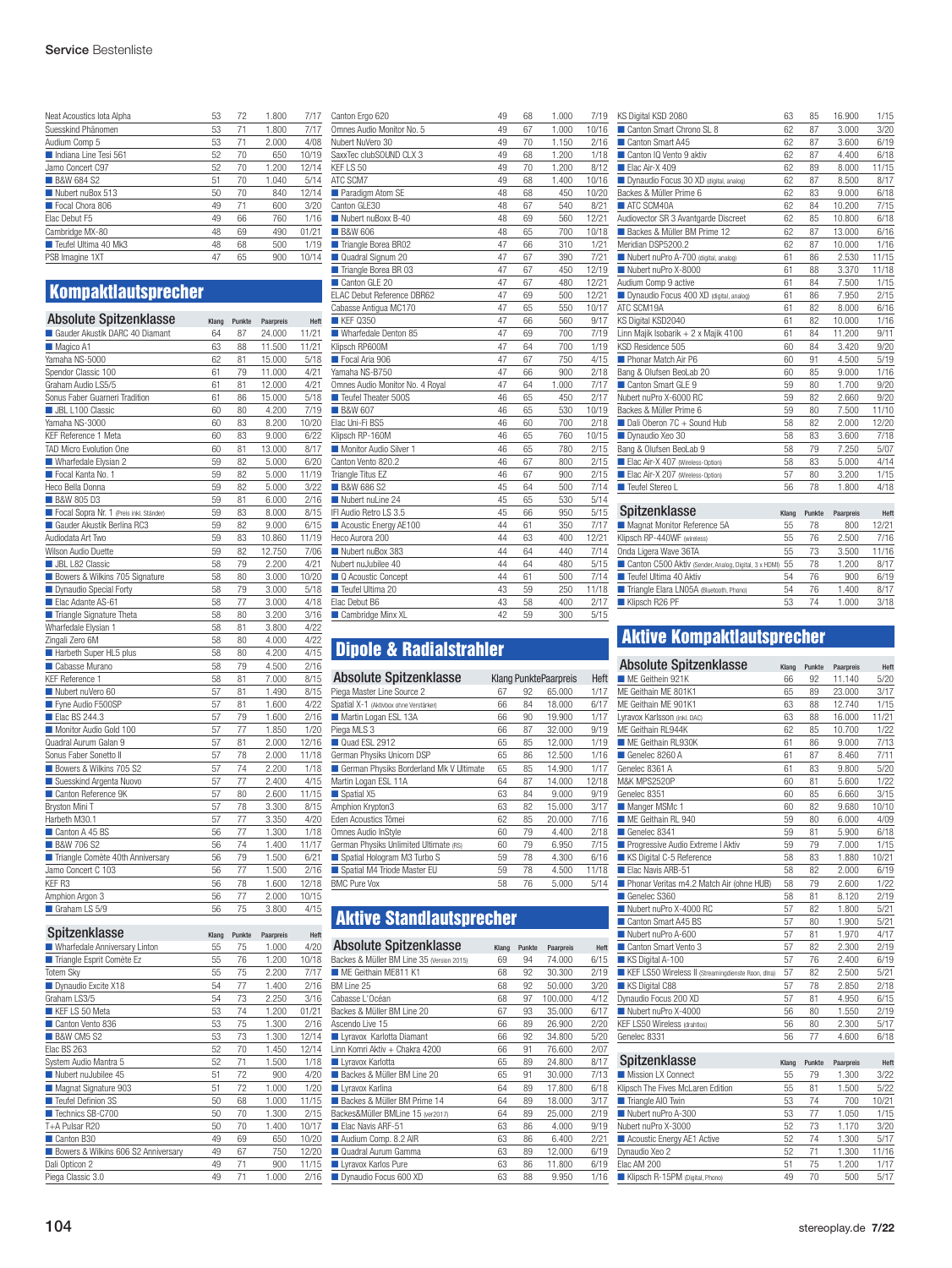| Neat Acoustics lota Alpha | 53 | 72 | 1.800 | 7/17  |
|---------------------------|----|----|-------|-------|
| Suesskind Phänomen        | 53 | 71 | 1.800 | 7/17  |
| Audium Comp 5             | 53 | 71 | 2.000 | 4/08  |
| Indiana Line Tesi 561     | 52 | 70 | 650   | 10/19 |
| Jamo Concert C97          | 52 | 70 | 1.200 | 12/14 |
| <b>B&amp;W 684 S2</b>     | 51 | 70 | 1.040 | 5/14  |
| Nubert nuBox 513          | 50 | 70 | 840   | 12/14 |
| Focal Chora 806           | 49 | 71 | 600   | 3/20  |
| Elac Debut F5             | 49 | 66 | 760   | 1/16  |
| Cambridge MX-80           | 48 | 69 | 490   | 01/21 |
| Teufel Ultima 40 Mk3      | 48 | 68 | 500   | 1/19  |
| PSB Imagine 1XT           | 47 | 65 | 900   | 10/14 |
|                           |    |    |       |       |

## Kompaktlautsprecher

| <b>Absolute Spitzenklasse</b>           | Klang | Punkte | Paarpreis | Heft  |
|-----------------------------------------|-------|--------|-----------|-------|
| Gauder Akustik DARC 40 Diamant          | 64    | 87     | 24.000    | 11/21 |
| Magico A1                               | 63    | 88     | 11.500    | 11/21 |
| Yamaha NS-5000                          | 62    | 81     | 15.000    | 5/18  |
| Spendor Classic 100                     | 61    | 79     | 11.000    | 4/21  |
| Graham Audio LS5/5                      | 61    | 81     | 12.000    | 4/21  |
| Sonus Faber Guarneri Tradition          | 61    | 86     | 15.000    | 5/18  |
| <b>JBL L100 Classic</b>                 | 60    | 80     | 4.200     | 7/19  |
| Yamaha NS-3000                          | 60    | 83     | 8.200     | 10/20 |
| KEF Reference 1 Meta                    | 60    | 83     | 9.000     | 6/22  |
| TAD Micro Evolution One                 | 60    | 81     | 13.000    | 8/17  |
| Wharfedale Elysian 2                    | 59    | 82     | 5.000     | 6/20  |
| Focal Kanta No. 1                       | 59    | 82     | 5.000     | 11/19 |
| Heco Bella Donna                        | 59    | 82     | 5.000     | 3/22  |
| <b>B&amp;W 805 D3</b>                   | 59    | 81     | 6.000     | 2/16  |
| Focal Sopra Nr. 1 (Preis inkl. Ständer) | 59    | 83     | 8.000     | 8/15  |
| Gauder Akustik Berlina RC3              | 59    | 82     | 9.000     | 6/15  |
| Audiodata Art Two                       | 59    | 83     | 10.860    | 11/19 |
| Wilson Audio Duette                     | 59    | 82     | 12.750    | 7/06  |
| <b>JBL L82 Classic</b>                  | 58    | 79     | 2.200     | 4/21  |
| Bowers & Wilkins 705 Signature          | 58    | 80     | 3.000     | 10/20 |
| Dynaudio Special Forty                  | 58    | 79     | 3.000     | 5/18  |
| Elac Adante AS-61                       | 58    | 77     | 3.000     | 4/18  |
| Triangle Signature Theta                | 58    | 80     | 3.200     | 3/16  |
| Wharfedale Elysian 1                    | 58    | 81     | 3.800     | 4/22  |
| Zingali Zero 6M                         | 58    | 80     | 4.000     | 4/22  |
| Harbeth Super HL5 plus                  | 58    | 80     | 4.200     | 4/15  |
| Cabasse Murano                          | 58    | 79     | 4.500     | 2/16  |
| KEF Reference 1                         | 58    | 81     | 7.000     | 8/15  |
| Nubert nuVero 60                        | 57    | 81     | 1.490     | 8/15  |
| Fyne Audio F500SP                       | 57    | 81     | 1.600     | 4/22  |
| ■ Elac BS 244.3                         | 57    | 79     | 1.600     | 2/16  |
| Monitor Audio Gold 100                  | 57    | 77     | 1.850     | 1/20  |
| Quadral Aurum Galan 9                   | 57    | 81     | 2.000     | 12/16 |
| Sonus Faber Sonetto II                  | 57    | 78     | 2.000     | 11/18 |
| Bowers & Wilkins 705 S2                 | 57    | 74     | 2.200     | 1/18  |
| Suesskind Argenta Nuovo                 | 57    | 77     | 2.400     | 4/15  |
| Canton Reference 9K                     | 57    | 80     | 2.600     | 11/15 |
| Bryston Mini T                          | 57    | 78     | 3.300     | 8/15  |
| Harbeth M30.1                           | 57    | 77     | 3.350     | 4/20  |
| Canton A 45 BS                          | 56    | 77     | 1.300     | 1/18  |
| <b>B&amp;W 706 S2</b>                   | 56    | 74     | 1.400     | 11/17 |
| Triangle Comète 40th Anniversary        | 56    | 79     | 1.500     | 6/21  |
| Jamo Concert C 103                      | 56    | 77     | 1.500     | 2/16  |
| KEF R3                                  | 56    | 78     | 1.600     | 12/18 |
| Amphion Argon 3                         | 56    | 77     | 2.000     | 10/15 |
| Graham LS 5/9                           | 56    | 75     | 3.800     | 4/15  |
|                                         |       |        |           |       |

| Spitzenklasse                       | Klang | Punkte | Paarpreis | Heft  |
|-------------------------------------|-------|--------|-----------|-------|
| Wharfedale Anniversary Linton       | 55    | 75     | 1.000     | 4/20  |
| Triangle Esprit Comète Ez           | 55    | 76     | 1.200     | 10/18 |
| <b>Totem Skv</b>                    | 55    | 75     | 2.200     | 7/17  |
| Dynaudio Excite X18                 | 54    | 77     | 1.400     | 2/16  |
| Graham I S3/5                       | 54    | 73     | 2.250     | 3/16  |
| KEF LS 50 Meta                      | 53    | 74     | 1.200     | 01/21 |
| Canton Vento 836                    | 53    | 75     | 1.300     | 2/16  |
| <b>B&amp;W CM5 S2</b>               | 53    | 73     | 1.300     | 12/14 |
| Elac BS 263                         | 52    | 70     | 1.450     | 12/14 |
| System Audio Mantra 5               | 52    | 71     | 1.500     | 1/18  |
| Nubert nuJubilee 45                 | 51    | 72     | 900       | 4/20  |
| Magnat Signature 903                | 51    | 72     | 1.000     | 1/20  |
| Teufel Definion 3S                  | 50    | 68     | 1.000     | 11/15 |
| Technics SB-C700                    | 50    | 70     | 1.300     | 2/15  |
| T+A Pulsar R20                      | 50    | 70     | 1.400     | 10/17 |
| Canton B30                          | 49    | 69     | 650       | 10/20 |
| Bowers & Wilkins 606 S2 Anniversary | 49    | 67     | 750       | 12/20 |
| Dali Opticon 2                      | 49    | 71     | 900       | 11/15 |
| Piega Classic 3.0                   | 49    | 71     | 1.000     | 2/16  |
|                                     |       |        |           |       |

| Canton Ergo 620                 | 49 | 68 | 1.000 | 7/19  |
|---------------------------------|----|----|-------|-------|
| Omnes Audio Monitor No. 5       | 49 | 67 | 1.000 | 10/16 |
| Nubert NuVero 30                | 49 | 70 | 1.150 | 2/16  |
| SaxxTec clubSOUND CLX 3         | 49 | 68 | 1.200 | 1/18  |
| KEF LS 50                       | 49 | 70 | 1.200 | 8/12  |
| ATC SCM7                        | 49 | 68 | 1.400 | 10/16 |
| Paradigm Atom SE                | 48 | 68 | 450   | 10/20 |
| Canton GLE30                    | 48 | 67 | 540   | 8/21  |
| Nubert nuBoxx B-40              | 48 | 69 | 560   | 12/21 |
| <b>B&amp;W 606</b>              | 48 | 65 | 700   | 10/18 |
| Triangle Borea BR02             | 47 | 66 | 310   | 1/21  |
| Quadral Signum 20               | 47 | 67 | 390   | 7/21  |
| Triangle Borea BR 03            | 47 | 67 | 450   | 12/19 |
| Canton GLE 20                   | 47 | 67 | 480   | 12/21 |
| ELAC Debut Reference DBR62      | 47 | 69 | 500   | 12/21 |
| Cabasse Antiqua MC170           | 47 | 65 | 550   | 10/17 |
| <b>KEF Q350</b>                 | 47 | 66 | 560   | 9/17  |
| Wharfedale Denton 85            | 47 | 69 | 700   | 7/19  |
| Klipsch RP600M                  | 47 | 64 | 700   | 1/19  |
| Focal Aria 906                  | 47 | 67 | 750   | 4/15  |
| Yamaha NS-B750                  | 47 | 66 | 900   | 2/18  |
| Omnes Audio Monitor No. 4 Royal | 47 | 64 | 1.000 | 7/17  |
| Teufel Theater 500S             | 46 | 65 | 450   | 2/17  |
| <b>B&amp;W 607</b>              | 46 | 65 | 530   | 10/19 |
| Elac Uni-Fi BS5                 | 46 | 60 | 700   | 2/18  |
| Klipsch RP-160M                 | 46 | 65 | 760   | 10/15 |
| Monitor Audio Silver 1          | 46 | 65 | 780   | 2/15  |
| Canton Vento 820.2              | 46 | 67 | 800   | 2/15  |
| Triangle Titus EZ               | 46 | 67 | 900   | 2/15  |
| <b>B&amp;W 686 S2</b>           | 45 | 64 | 500   | 7/14  |
| Nubert nuLine 24                | 45 | 65 | 530   | 5/14  |
| IFI Audio Retro LS 3.5          | 45 | 66 | 950   | 5/15  |
| Acoustic Energy AE100           | 44 | 61 | 350   | 7/17  |
| Heco Aurora 200                 | 44 | 63 | 400   | 12/21 |
| Nubert nuBox 383                | 44 | 64 | 440   | 7/14  |
| Nubert nuJubilee 40             | 44 | 64 | 480   | 5/15  |
| Q Acoustic Concept              | 44 | 61 | 500   | 7/14  |
| Teufel Ultima 20                | 43 | 59 | 250   | 11/18 |
| Elac Debut B6                   | 43 | 58 | 400   | 2/17  |
| Cambridge Minx XL               | 42 | 59 | 300   | 5/15  |
|                                 |    |    |       |       |

## Dipole & Radialstrahler

| <b>Absolute Spitzenklasse</b><br><b>Klang PunktePaarpreis</b> |    |        |       |  |
|---------------------------------------------------------------|----|--------|-------|--|
| 67                                                            | 92 | 65.000 | 1/17  |  |
| 66                                                            | 84 | 18.000 | 6/17  |  |
| 66                                                            | 90 | 19.900 | 1/17  |  |
| 66                                                            | 87 | 32.000 | 9/19  |  |
| 65                                                            | 85 | 12.000 | 1/19  |  |
| 65                                                            | 86 | 12.500 | 1/16  |  |
| 65                                                            | 85 | 14.900 | 1/17  |  |
| 64                                                            | 87 | 14.000 | 12/18 |  |
| 63                                                            | 84 | 9.000  | 9/19  |  |
| 63                                                            | 82 | 15.000 | 3/17  |  |
| 62                                                            | 85 | 20.000 | 7/16  |  |
| 60                                                            | 79 | 4.400  | 2/18  |  |
| 60                                                            | 79 | 6.950  | 7/15  |  |
| 59                                                            | 78 | 4.300  | 6/16  |  |
| 59                                                            | 78 | 4.500  | 11/18 |  |
| 58                                                            | 76 | 5.000  | 5/14  |  |
|                                                               |    |        |       |  |

## Aktive Standlautsprecher

| <b>Absolute Spitzenklasse</b>             |       |        |           |      |
|-------------------------------------------|-------|--------|-----------|------|
|                                           | Klang | Punkte | Paarpreis | Heft |
| Backes & Müller BM Line 35 (Version 2015) | 69    | 94     | 74.000    | 6/15 |
| ME Geithain ME811 K1                      | 68    | 92     | 30.300    | 2/19 |
| BM Line 25                                | 68    | 92     | 50.000    | 3/20 |
| Cabasse L'Océan                           | 68    | 97     | 100.000   | 4/12 |
| Backes & Müller BM Line 20                | 67    | 93     | 35.000    | 6/17 |
| Ascendo I ive 15                          | 66    | 89     | 26.900    | 2/20 |
| Lyravox Karlotta Diamant                  | 66    | 92     | 34.800    | 5/20 |
| I inn Komri Aktiv + Chakra 4200           | 66    | 91     | 76.600    | 2/07 |
| <b>Lyravox Karlotta</b>                   | 65    | 89     | 24.800    | 8/17 |
| Backes & Müller BM Line 20                | 65    | 91     | 30.000    | 7/13 |
| <b>Lyravox Karlina</b>                    | 64    | 89     | 17.800    | 6/18 |
| Backes & Müller BM Prime 14               | 64    | 89     | 18.000    | 3/17 |
| Backes&Müller BMLine 15 (ver2017)         | 64    | 89     | 25.000    | 2/19 |
| Flac Navis ARF-51                         | 63    | 86     | 4.000     | 9/19 |
| Audium Comp. 8.2 AIR                      | 63    | 86     | 6.400     | 2/21 |
| Quadral Aurum Gamma                       | 63    | 89     | 12.000    | 6/19 |
| Lyravox Karlos Pure                       | 63    | 86     | 11.800    | 6/19 |
| Dynaudio Focus 600 XD                     | 63    | 88     | 9.950     | 1/16 |
|                                           |       |        |           |      |

| KS Digital KSD 2080                     | 63 | 85 | 16.900 | 1/15  |
|-----------------------------------------|----|----|--------|-------|
| Canton Smart Chrono SL 8                | 62 | 87 | 3.000  | 3/20  |
| Canton Smart A45                        | 62 | 87 | 3.600  | 6/19  |
| Canton IQ Vento 9 aktiv                 | 62 | 87 | 4.400  | 6/18  |
| Elac Air-X 409                          | 62 | 89 | 8.000  | 11/15 |
| Dynaudio Focus 30 XD (digital, analog)  | 62 | 87 | 8.500  | 8/17  |
| Backes & Müller Prime 6                 | 62 | 83 | 9.000  | 6/18  |
| ATC SCM40A                              | 62 | 84 | 10.200 | 7/15  |
| Audiovector SR 3 Avantgarde Discreet    | 62 | 85 | 10.800 | 6/18  |
| Backes & Müller BM Prime 12             | 62 | 87 | 13.000 | 6/16  |
| Meridian DSP5200.2                      | 62 | 87 | 10.000 | 1/16  |
| Nubert nuPro A-700 (digital, analog)    | 61 | 86 | 2.530  | 11/15 |
| Nubert nuPro X-8000                     | 61 | 88 | 3.370  | 11/18 |
| Audium Comp 9 active                    | 61 | 84 | 7.500  | 1/15  |
| Dynaudio Focus 400 XD (digital, analog) | 61 | 86 | 7.950  | 2/15  |
| ATC SCM19A                              | 61 | 82 | 8.000  | 6/16  |
| KS Digital KSD2040                      | 61 | 82 | 10.000 | 1/16  |
| Linn Majik Isobarik + 2 x Majik 4100    | 61 | 84 | 11.200 | 9/11  |
| KSD Residence 505                       | 60 | 84 | 3.420  | 9/20  |
| Phonar Match Air P6                     | 60 | 91 | 4.500  | 5/19  |
| Bang & Olufsen BeoLab 20                | 60 | 85 | 9.000  | 1/16  |
| Canton Smart GLE 9                      | 59 | 80 | 1.700  | 9/20  |
| Nubert nuPro X-6000 RC                  | 59 | 82 | 2.660  | 9/20  |
| Backes & Müller Prime 6                 | 59 | 80 | 7.500  | 11/10 |
| Dali Oberon 7C + Sound Hub              | 58 | 82 | 2.000  | 12/20 |
| Dynaudio Xeo 30                         | 58 | 83 | 3.600  | 7/18  |
| Bang & Olufsen BeoLab 9                 | 58 | 79 | 7.250  | 5/07  |
| Elac Air-X 407 (Wireless-Option)        | 58 | 83 | 5.000  | 4/14  |
| Elac Air-X 207 (Wireless-Option)        | 57 | 80 | 3.200  | 1/15  |
| Teufel Stereo L                         | 56 | 78 | 1.800  | 4/18  |
|                                         |    |    |        |       |

| Spitzenklasse                                         | Klang | Punkte | Paarpreis | Heft  |
|-------------------------------------------------------|-------|--------|-----------|-------|
| Magnat Monitor Reference 5A                           | 55    | 78     | 800       | 12/21 |
| Klipsch RP-440WF (wireless)                           | 55    | 76     | 2.500     | 7/16  |
| Onda Ligera Wave 36TA                                 | 55    | 73     | 3.500     | 11/16 |
| Canton C500 Aktiv (Sender, Analog, Digital, 3 x HDMI) | 55    | 78     | 1.200     | 8/17  |
| Teufel Ultima 40 Aktiv                                | 54    | 76     | 900       | 6/19  |
| Triangle Elara LN05A (Bluetooth, Phono)               | 54    | 76     | 1.400     | 8/17  |
| Klipsch R26 PF                                        | 53    | 74     | 1.000     | 3/18  |
|                                                       |       |        |           |       |

## Aktive Kompaktlautsprecher

| <b>Absolute Spitzenklasse</b>                      | Klang | Punkte | Paarpreis | Heft  |
|----------------------------------------------------|-------|--------|-----------|-------|
| ME Geithein 921K                                   | 66    | 92     | 11.140    | 5/20  |
| ME Geithain ME 801K1                               | 65    | 89     | 23.000    | 3/17  |
| ME Geithain ME 901K1                               | 63    | 88     | 12.740    | 1/15  |
| Lyravox Karlsson (inkl. DAC)                       | 63    | 88     | 16.000    | 11/21 |
| ME Geithain RL944K                                 | 62    | 85     | 10.700    | 1/22  |
| ME Geithain RL930K                                 | 61    | 86     | 9.000     | 7/13  |
| Genelec 8260 A                                     | 61    | 87     | 8.460     | 7/11  |
| Genelec 8361 A                                     | 61    | 83     | 9.800     | 5/20  |
| M&K MPS2520P                                       | 60    | 81     | 5.600     | 1/22  |
| Genelec 8351                                       | 60    | 85     | 6.660     | 3/15  |
| Manger MSMc 1                                      | 60    | 82     | 9.680     | 10/10 |
| ME Geithain RL 940                                 | 59    | 80     | 6.000     | 4/09  |
| Genelec 8341                                       | 59    | 81     | 5.900     | 6/18  |
| Progressive Audio Extreme I Aktiv                  | 59    | 79     | 7.000     | 1/15  |
| KS Digital C-5 Reference                           | 58    | 83     | 1.880     | 10/21 |
| Elac Navis ARB-51                                  | 58    | 82     | 2.000     | 6/19  |
| Phonar Veritas m4.2 Match Air (ohne HUB)           | 58    | 79     | 2.600     | 1/22  |
| Genelec S360                                       | 58    | 81     | 8.120     | 2/19  |
| Nubert nuPro X-4000 RC                             | 57    | 82     | 1.800     | 5/21  |
| Canton Smart A45 BS                                | 57    | 80     | 1.900     | 5/21  |
| Nubert nuPro A-600                                 | 57    | 81     | 1.970     | 4/17  |
| Canton Smart Vento 3                               | 57    | 82     | 2.300     | 2/19  |
| KS Digital A-100                                   | 57    | 76     | 2.400     | 6/19  |
| KEF LS50 Wireless II (Streamingdienste Roon, dlna) | 57    | 82     | 2.500     | 5/21  |
| KS Digital C88                                     | 57    | 78     | 2.850     | 2/18  |
| Dynaudio Focus 200 XD                              | 57    | 81     | 4.950     | 6/15  |
| Nubert nuPro X-4000                                | 56    | 80     | 1.550     | 2/19  |
| KEF LS50 Wireless (drahtlos)                       | 56    | 80     | 2.300     | 5/17  |
| Genelec 8331                                       | 56    | 77     | 4.600     | 6/18  |
|                                                    |       |        |           |       |
| Spitzenklasse                                      | Klang | Punkte | Paarpreis | Heft  |
| Mission LX Connect                                 | 55    | 79     | 1.300     | 3/22  |
| Klipsch The Fives McLaren Edition                  | 55    | 81     | 1.500     | 5/22  |
| Triangle AIO Twin                                  | 53    | 74     | 700       | 10/21 |
| Nubert nuPro A-300                                 | 53    | 77     | 1.050     | 1/15  |
| Nubert nuPro X-3000                                | 52    | 73     | 1.170     | 3/20  |
| Acoustic Energy AE1 Active                         | 52    | 74     | 1.300     | 5/17  |
| Dvnaudio Xeo 2                                     | 52    | 71     | 1.300     | 11/16 |

Elac AM 200 **1/17**<br>■ Klipsch R-15PM (Digital, Phono) 49 70 500 5/17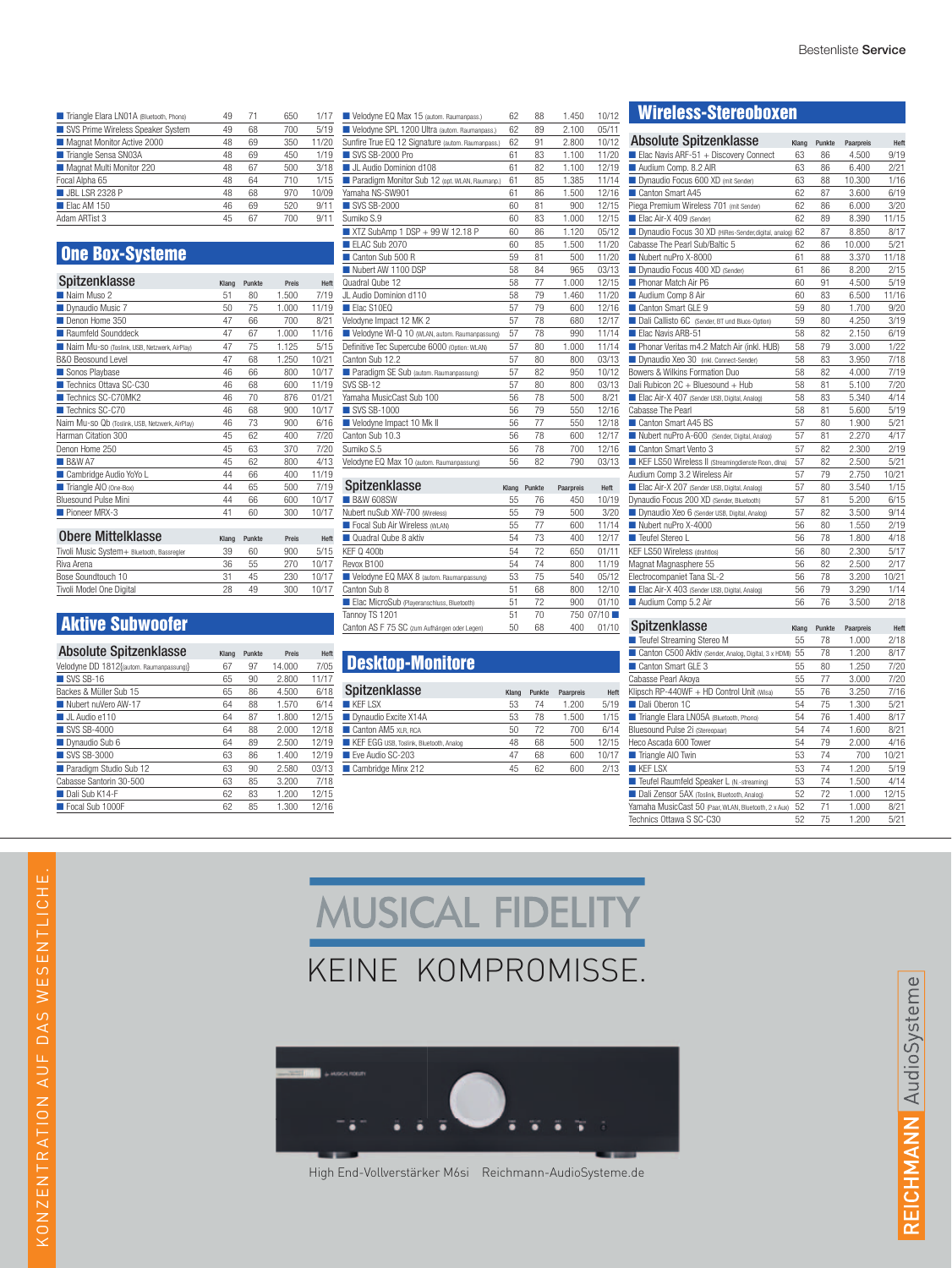| Triangle Elara LN01A (Bluetooth, Phono) | 49 | 71 | 650 | 1/17  |
|-----------------------------------------|----|----|-----|-------|
| SVS Prime Wireless Speaker System       | 49 | 68 | 700 | 5/19  |
| Magnat Monitor Active 2000              | 48 | 69 | 350 | 11/20 |
| Triangle Sensa SN03A                    | 48 | 69 | 450 | 1/19  |
| Magnat Multi Monitor 220                | 48 | 67 | 500 | 3/18  |
| Focal Alpha 65                          | 48 | 64 | 710 | 1/15  |
| <b>JBL LSR 2328 P</b>                   | 48 | 68 | 970 | 10/09 |
| Elac AM 150                             | 46 | 69 | 520 | 9/11  |
| Adam ARTist 3                           | 45 | 67 | 700 | 9/11  |

## One Box-Systeme

| Spitzenklasse                                   | Klang | Punkte | Preis | Heft  |
|-------------------------------------------------|-------|--------|-------|-------|
| Naim Muso 2                                     | 51    | 80     | 1.500 | 7/19  |
| Dynaudio Music 7                                | 50    | 75     | 1.000 | 11/19 |
| Denon Home 350                                  | 47    | 66     | 700   | 8/21  |
| Raumfeld Sounddeck                              | 47    | 67     | 1.000 | 11/16 |
| Naim Mu-SO (Toslink, USB, Netzwerk, AirPlay)    | 47    | 75     | 1.125 | 5/15  |
| B&O Beosound Level                              | 47    | 68     | 1.250 | 10/21 |
| Sonos Playbase                                  | 46    | 66     | 800   | 10/17 |
| Technics Ottava SC-C30                          | 46    | 68     | 600   | 11/19 |
| Technics SC-C70MK2                              | 46    | 70     | 876   | 01/21 |
| Technics SC-C70                                 | 46    | 68     | 900   | 10/17 |
| Naim Mu-so Qb (Toslink, USB, Netzwerk, AirPlay) | 46    | 73     | 900   | 6/16  |
| Harman Citation 300                             | 45    | 62     | 400   | 7/20  |
| Denon Home 250                                  | 45    | 63     | 370   | 7/20  |
| <b>B&amp;W A7</b>                               | 45    | 62     | 800   | 4/13  |
| Cambridge Audio YoYo L                          | 44    | 66     | 400   | 11/19 |
| Triangle AIO (One-Box)                          | 44    | 65     | 500   | 7/19  |
| <b>Bluesound Pulse Mini</b>                     | 44    | 66     | 600   | 10/17 |
| Pioneer MRX-3                                   | 41    | 60     | 300   | 10/17 |

| <b>Obere Mittelklasse</b>                  | Klang | Punkte | Preis | Heft  |
|--------------------------------------------|-------|--------|-------|-------|
| Tivoli Music System+ Bluetooth, Bassregler | 39    | 60     | 900   | 5/15  |
| Riva Arena                                 | 36    | 55     | 270   | 10/17 |
| Bose Soundtouch 10                         | 31    | 45     | 230   | 10/17 |
| Tivoli Model One Digital                   | 28    | 49     | 300   | 10/17 |

## Aktive Subwoofer

| <b>Absolute Spitzenklasse</b>            | Klang | Punkte | Preis  | Heft  |
|------------------------------------------|-------|--------|--------|-------|
| Velodyne DD 1812f(autom. Raumanpassung)} | 67    | 97     | 14.000 | 7/05  |
| $\blacksquare$ SVS SB-16                 | 65    | 90     | 2.800  | 11/17 |
| Backes & Müller Sub 15                   | 65    | 86     | 4.500  | 6/18  |
| Nubert nuVero AW-17                      | 64    | 88     | 1.570  | 6/14  |
| UL Audio e110                            | 64    | 87     | 1.800  | 12/15 |
| ■ SVS SB-4000                            | 64    | 88     | 2.000  | 12/18 |
| Dynaudio Sub 6                           | 64    | 89     | 2.500  | 12/19 |
| ■ SVS SB-3000                            | 63    | 86     | 1.400  | 12/19 |
| Paradigm Studio Sub 12                   | 63    | 90     | 2.580  | 03/13 |
| Cabasse Santorin 30-500                  | 63    | 85     | 3.200  | 7/18  |
| Dali Sub K14-F                           | 62    | 83     | 1.200  | 12/15 |
| Focal Sub 1000F                          | 62    | 85     | 1.300  | 12/16 |

| Velodyne EQ Max 15 (autom. Raumanpass.)           | 62 | 88 | 1.450 | 10/12 |
|---------------------------------------------------|----|----|-------|-------|
| Velodyne SPL 1200 Ultra (autom. Raumanpass.)      | 62 | 89 | 2.100 | 05/11 |
| Sunfire True EQ 12 Signature (autom. Raumanpass.) | 62 | 91 | 2.800 | 10/12 |
| SVS SB-2000 Pro                                   | 61 | 83 | 1.100 | 11/20 |
| UL Audio Dominion d108                            | 61 | 82 | 1.100 | 12/19 |
| Paradigm Monitor Sub 12 (opt. WLAN, Raumanp.)     | 61 | 85 | 1.385 | 11/14 |
| Yamaha NS-SW901                                   | 61 | 86 | 1.500 | 12/16 |
| ■ SVS SB-2000                                     | 60 | 81 | 900   | 12/15 |
| Sumiko S.9                                        | 60 | 83 | 1.000 | 12/15 |
| XTZ SubAmp 1 DSP + 99 W 12.18 P                   | 60 | 86 | 1.120 | 05/12 |
| FI AC Sub 2070                                    | 60 | 85 | 1.500 | 11/20 |
| Canton Sub 500 B                                  | 59 | 81 | 500   | 11/20 |
| Nubert AW 1100 DSP                                | 58 | 84 | 965   | 03/13 |
| Quadral Qube 12                                   | 58 | 77 | 1.000 | 12/15 |
| JL Audio Dominion d110                            | 58 | 79 | 1.460 | 11/20 |
| Flac S10FO                                        | 57 | 79 | 600   | 12/16 |
| Velodyne Impact 12 MK 2                           | 57 | 78 | 680   | 12/17 |
| Velodyne WI-Q 10 (WLAN, autom. Raumanpassung)     | 57 | 78 | 990   | 11/14 |
| Definitive Tec Supercube 6000 (Option: WLAN)      | 57 | 80 | 1.000 | 11/14 |
| Canton Sub 12.2                                   | 57 | 80 | 800   | 03/13 |
| Paradigm SE Sub (autom. Raumanpassung)            | 57 | 82 | 950   | 10/12 |
| <b>SVS SB-12</b>                                  | 57 | 80 | 800   | 03/13 |
| Yamaha MusicCast Sub 100                          | 56 | 78 | 500   | 8/21  |
| ■ SVS SB-1000                                     | 56 | 79 | 550   | 12/16 |
| Velodyne Impact 10 Mk II                          | 56 | 77 | 550   | 12/18 |
| Canton Sub 10.3                                   | 56 | 78 | 600   | 12/17 |
| Sumiko S.5                                        | 56 | 78 | 700   | 12/16 |
| Velodyne EQ Max 10 (autom. Raumanpassung)         | 56 | 82 | 790   | 03/13 |
|                                                   |    |    |       |       |

| Spitzenklasse                                | Klang | Punkte | Paarpreis | Heft      |
|----------------------------------------------|-------|--------|-----------|-----------|
| <b>B&amp;W 608SW</b>                         | 55    | 76     | 450       | 10/19     |
| Nubert nuSub XW-700 (Wireless)               | 55    | 79     | 500       | 3/20      |
| Focal Sub Air Wireless (WLAN)                | 55    | 77     | 600       | 11/14     |
| Quadral Qube 8 aktiv                         | 54    | 73     | 400       | 12/17     |
| <b>KEF Q 400b</b>                            | 54    | 72     | 650       | 01/11     |
| Revox B100                                   | 54    | 74     | 800       | 11/19     |
| Velodyne EQ MAX 8 (autom. Raumanpassung)     | 53    | 75     | 540       | 05/12     |
| Canton Sub 8                                 | 51    | 68     | 800       | 12/10     |
| Elac MicroSub (Playeranschluss, Bluetooth)   | 51    | 72     | 900       | 01/10     |
| Tannoy TS 1201                               | 51    | 70     |           | 750 07/10 |
| Canton AS F 75 SC (zum Aufhängen oder Legen) | 50    | 68     | 400       | 01/10     |

#### Desktop-Monitore

| Spitzenklasse                           | Klang | Punkte | Paarpreis | Heft  |
|-----------------------------------------|-------|--------|-----------|-------|
| <b>KEF LSX</b>                          | 53    | 74     | 1.200     | 5/19  |
| Dynaudio Excite X14A                    | 53    | 78     | 1.500     | 1/15  |
| Canton AM5 XLR. RCA                     | 50    | 72     | 700       | 6/14  |
| KEF EGG USB, Toslink, Bluetooth, Analog | 48    | 68     | 500       | 12/15 |
| Eve Audio SC-203                        | 47    | 68     | 600       | 10/17 |
| Cambridge Minx 212                      | 45    | 62     | 600       | 2/13  |
|                                         |       |        |           |       |

| <b>Absolute Spitzenklasse</b>                           | Klang | Punkte | Paarpreis | Heft  |
|---------------------------------------------------------|-------|--------|-----------|-------|
| Elac Navis ARF-51 + Discovery Connect                   | 63    | 86     | 4.500     | 9/19  |
| Audium Comp. 8.2 AIR                                    | 63    | 86     | 6.400     | 2/21  |
| Dynaudio Focus 600 XD (mit Sender)                      | 63    | 88     | 10.300    | 1/16  |
| Canton Smart A45                                        | 62    | 87     | 3.600     | 6/19  |
| Piega Premium Wireless 701 (mit Sender)                 | 62    | 86     | 6.000     | 3/20  |
| Elac Air-X 409 (Sender)                                 | 62    | 89     | 8.390     | 11/15 |
| Dynaudio Focus 30 XD (HiRes-Sender, digital, analog) 62 |       | 87     | 8.850     | 8/17  |
| Cabasse The Pearl Sub/Baltic 5                          | 62    | 86     | 10.000    | 5/21  |
| Nubert nuPro X-8000                                     | 61    | 88     | 3.370     | 11/18 |
| Dynaudio Focus 400 XD (Sender)                          | 61    | 86     | 8.200     | 2/15  |
| Phonar Match Air P6                                     | 60    | 91     | 4.500     | 5/19  |
| Audium Comp 8 Air                                       | 60    | 83     | 6.500     | 11/16 |
| Canton Smart GLE 9                                      | 59    | 80     | 1.700     | 9/20  |
| Dali Callisto 6C (Sender, BT und Bluos-Option)          | 59    | 80     | 4.250     | 3/19  |
| Elac Navis ARB-51                                       | 58    | 82     | 2.150     | 6/19  |
| Phonar Veritas m4.2 Match Air (inkl. HUB)               | 58    | 79     | 3.000     | 1/22  |
| Dynaudio Xeo 30 (inkl. Connect-Sender)                  | 58    | 83     | 3.950     | 7/18  |
| Bowers & Wilkins Formation Duo                          | 58    | 82     | 4.000     | 7/19  |
| Dali Rubicon 2C + Bluesound + Hub                       | 58    | 81     | 5.100     | 7/20  |
| Elac Air-X 407 (Sender USB, Digital, Analog)            | 58    | 83     | 5.340     | 4/14  |
| Cabasse The Pearl                                       | 58    | 81     | 5.600     | 5/19  |
| Canton Smart A45 BS                                     | 57    | 80     | 1.900     | 5/21  |
| Nubert nuPro A-600 (Sender, Digital, Analog)            | 57    | 81     | 2.270     | 4/17  |
| Canton Smart Vento 3                                    | 57    | 82     | 2.300     | 2/19  |
| KEF LS50 Wireless II (Streamingdienste Roon, dlna)      | 57    | 82     | 2.500     | 5/21  |
| Audium Comp 3.2 Wireless Air                            | 57    | 79     | 2.750     | 10/21 |
| Elac Air-X 207 (Sender USB, Digital, Analog)            | 57    | 80     | 3.540     | 1/15  |
| Dynaudio Focus 200 XD (Sender, Bluetooth)               | 57    | 81     | 5.200     | 6/15  |
| Dynaudio Xeo 6 (Sender USB, Digital, Analog)            | 57    | 82     | 3.500     | 9/14  |
| Nubert nuPro X-4000                                     | 56    | 80     | 1.550     | 2/19  |
| Teufel Stereo L                                         | 56    | 78     | 1.800     | 4/18  |
| KEF LS50 Wireless (drahtlos)                            | 56    | 80     | 2.300     | 5/17  |
| Magnat Magnasphere 55                                   | 56    | 82     | 2.500     | 2/17  |
| Electrocompaniet Tana SL-2                              | 56    | 78     | 3.200     | 10/21 |
| Elac Air-X 403 (Sender USB, Digital, Analog)            | 56    | 79     | 3.290     | 1/14  |
| Audium Comp 5.2 Air                                     | 56    | 76     | 3.500     | 2/18  |
|                                                         |       |        |           |       |
| Spitzenklasse                                           | Klang | Punkte | Paarpreis | Heft  |
| Teufel Streaming Stereo M                               | 55    | 78     | 1.000     | 2/18  |
| Canton C500 Aktiv (Sender, Analog, Digital, 3 x HDMI)   | 55    | 78     | 1.200     | 8/17  |
| Canton Smart GLE 3                                      | 55    | 80     | 1.250     | 7/20  |
| Cabasse Pearl Akoya                                     | 55    | 77     | 3.000     | 7/20  |
| Klipsch RP-440WF + HD Control Unit (Wisa)               | 55    | 76     | 3.250     | 7/16  |
| Dali Oberon 1C                                          | 54    | 75     | 1.300     | 5/21  |
| Triangle Elara LN05A (Bluetooth, Phono)                 | 54    | 76     | 1.400     | 8/17  |
| Bluesound Pulse 2i (Stereopaar)                         | 54    | 74     | 1.600     | 8/21  |
| Heco Ascada 600 Tower                                   | 54    | 79     | 2.000     | 4/16  |
| Triangle AIO Twin                                       | 53    | 74     | 700       | 10/21 |
|                                                         |       |        |           |       |

■ KEF LSX 53 74 1.200 5/19<br>■ Teufel Raumfeld Speaker L (N.-streaming) 53 74 1.500 4/14

■ Dali Zensor 5AX (Toslink, Bluetooth, Analog) 52 72 1.000 12/15<br>
Yamaha MusicCast 50 (Paar, WLAN, Bluetooth, 2 x Aux) 52 71 1.000 8/21 Vamaha MusicCast 50 (Paar, WLAN, Bluetooth, 2 x Aux) 52 71 1.000 8/21<br>Technics Ottawa S SC-C30 52 75 1.200 5/21

■ Teufel Raumfeld Speaker L (N.-stre

Technics Ottawa S SC

**MUSICAL FIDELITY** KEINE KOMPROMISSE.



High End-Vollverstärker M6si Reichmann-AudioSysteme.de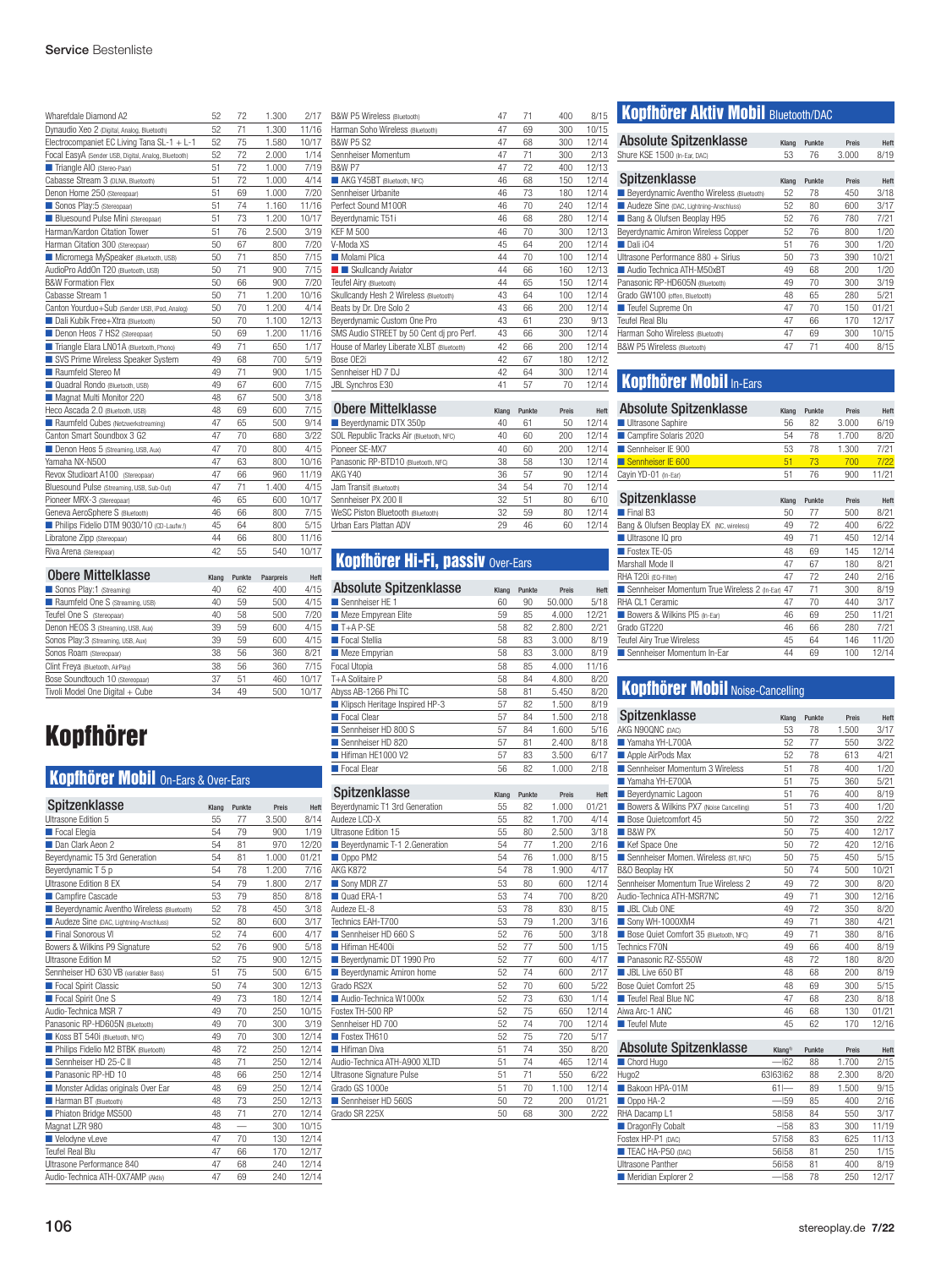| Wharefdale Diamond A2                                | 52 | 72 | 1.300 | 2/17  |
|------------------------------------------------------|----|----|-------|-------|
| Dynaudio Xeo 2 (Digital, Analog, Bluetooth)          | 52 | 71 | 1.300 | 11/16 |
| Electrocompaniet EC Living Tana SL-1 + L-1           | 52 | 75 | 1.580 | 10/17 |
| Focal EasyA (Sender USB, Digital, Analog, Bluetooth) | 52 | 72 | 2.000 | 1/14  |
| Triangle AIO (Stereo-Paar)                           | 51 | 72 | 1.000 | 7/19  |
| Cabasse Stream 3 (DLNA, Bluetooth)                   | 51 | 72 | 1.000 | 4/14  |
| Denon Home 250 (Stereopaar)                          | 51 | 69 | 1.000 | 7/20  |
| Sonos Play:5 (Stereopaar)                            | 51 | 74 | 1.160 | 11/16 |
| <b>Bluesound Pulse Mini (Stereopaar)</b>             | 51 | 73 | 1.200 | 10/17 |
| Harman/Kardon Citation Tower                         | 51 | 76 | 2.500 | 3/19  |
| Harman Citation 300 (Stereopaar)                     | 50 | 67 | 800   | 7/20  |
| Micromega MySpeaker (Bluetooth, USB)                 | 50 | 71 | 850   | 7/15  |
| AudioPro AddOn T20 (Bluetooth, USB)                  | 50 | 71 | 900   | 7/15  |
| <b>B&amp;W Formation Flex</b>                        | 50 | 66 | 900   | 7/20  |
| Cabasse Stream 1                                     | 50 | 71 | 1.200 | 10/16 |
| Canton Yourduo+Sub (Sender USB, iPod, Analog)        | 50 | 70 | 1.200 | 4/14  |
| Dali Kubik Free+Xtra (Bluetooth)                     | 50 | 70 | 1.100 | 12/13 |
| Denon Heos 7 HS2 (Stereopaar)                        | 50 | 69 | 1.200 | 11/16 |
| Triangle Elara LN01A (Bluetooth, Phono)              | 49 | 71 | 650   | 1/17  |
| SVS Prime Wireless Speaker System                    | 49 | 68 | 700   | 5/19  |
| Raumfeld Stereo M                                    | 49 | 71 | 900   | 1/15  |
| Quadral Rondo (Bluetooth, USB)                       | 49 | 67 | 600   | 7/15  |
| Magnat Multi Monitor 220                             | 48 | 67 | 500   | 3/18  |
| Heco Ascada 2.0 (Bluetooth, USB)                     | 48 | 69 | 600   | 7/15  |
| Raumfeld Cubes (Netzwerkstreaming)                   | 47 | 65 | 500   | 9/14  |
| Canton Smart Soundbox 3 G2                           | 47 | 70 | 680   | 3/22  |
| Denon Heos 5 (Streaming, USB, Aux)                   | 47 | 70 | 800   | 4/15  |
| Yamaha NX-N500                                       | 47 | 63 | 800   | 10/16 |
| Revox Studioart A100 (Stereopaar)                    | 47 | 66 | 960   | 11/19 |
| Bluesound Pulse (Streaming, USB, Sub-Out)            | 47 | 71 | 1.400 | 4/15  |
| Pioneer MRX-3 (Stereopaar)                           | 46 | 65 | 600   | 10/17 |
| Geneva AeroSphere S (Bluetooth)                      | 46 | 66 | 800   | 7/15  |
| Philips Fidelio DTM 9030/10 (CD-Laufw.!)             | 45 | 64 | 800   | 5/15  |
| Libratone Zipp (Stereopaar)                          | 44 | 66 | 800   | 11/16 |
| Riva Arena (Stereopaar)                              | 42 | 55 | 540   | 10/17 |

| <b>Obere Mittelklasse</b>           | Klang | Punkte | Paarpreis | Heft  |
|-------------------------------------|-------|--------|-----------|-------|
| Sonos Play:1 (Streaming)            | 40    | 62     | 400       | 4/15  |
| Raumfeld One S (Streaming, USB)     | 40    | 59     | 500       | 4/15  |
| Teufel One S (Stereopaar)           | 40    | 58     | 500       | 7/20  |
| Denon HEOS 3 (Streaming, USB, Aux)  | 39    | 59     | 600       | 4/15  |
| Sonos Play: 3 (Streaming, USB, Aux) | 39    | 59     | 600       | 4/15  |
| Sonos Roam (Stereopaar)             | 38    | 56     | 360       | 8/21  |
| Clint Freya (Bluetooth, AirPlay)    | 38    | 56     | 360       | 7/15  |
| Bose Soundtouch 10 (Stereopaar)     | 37    | 51     | 460       | 10/17 |
| Tivoli Model One Digital + Cube     | 34    | 49     | 500       | 10/17 |

## Kopfhörer

## **Kopfhörer Mobil On-Ears & Over-Ears**

| Spitzenklasse                                    | Klang | Punkte | Preis | Heft  |
|--------------------------------------------------|-------|--------|-------|-------|
| Ultrasone Edition 5                              | 55    | 77     | 3.500 | 8/14  |
| Focal Elegia                                     | 54    | 79     | 900   | 1/19  |
| Dan Clark Aeon 2                                 | 54    | 81     | 970   | 12/20 |
| Beyerdynamic T5 3rd Generation                   | 54    | 81     | 1.000 | 01/21 |
| Beyerdynamic T 5 p                               | 54    | 78     | 1.200 | 7/16  |
| Ultrasone Edition 8 EX                           | 54    | 79     | 1.800 | 2/17  |
| Campfire Cascade                                 | 53    | 79     | 850   | 8/18  |
| <b>Beyerdynamic Aventho Wireless (Bluetooth)</b> | 52    | 78     | 450   | 3/18  |
| Audeze Sine (DAC, Lightning-Anschluss)           | 52    | 80     | 600   | 3/17  |
| Final Sonorous VI                                | 52    | 74     | 600   | 4/17  |
| Bowers & Wilkins P9 Signature                    | 52    | 76     | 900   | 5/18  |
| Ultrasone Edition M                              | 52    | 75     | 900   | 12/15 |
| Sennheiser HD 630 VB (variabler Bass)            | 51    | 75     | 500   | 6/15  |
| Focal Spirit Classic                             | 50    | 74     | 300   | 12/13 |
| Focal Spirit One S                               | 49    | 73     | 180   | 12/14 |
| Audio-Technica MSR 7                             | 49    | 70     | 250   | 10/15 |
| Panasonic RP-HD605N (Bluetooth)                  | 49    | 70     | 300   | 3/19  |
| Koss BT 540i (Bluetooth, NFC)                    | 49    | 70     | 300   | 12/14 |
| Philips Fidelio M2 BTBK (Bluetooth)              | 48    | 72     | 250   | 12/14 |
| Sennheiser HD 25-C II                            | 48    | 71     | 250   | 12/14 |
| Panasonic RP-HD 10                               | 48    | 66     | 250   | 12/14 |
| Monster Adidas originals Over Ear                | 48    | 69     | 250   | 12/14 |
| Harman BT (Bluetooth)                            | 48    | 73     | 250   | 12/13 |
| Phiaton Bridge MS500                             | 48    | 71     | 270   | 12/14 |
| Magnat LZR 980                                   | 48    |        | 300   | 10/15 |
| Velodyne vLeve                                   | 47    | 70     | 130   | 12/14 |
| Teufel Real Blu                                  | 47    | 66     | 170   | 12/17 |
| Ultrasone Performance 840                        | 47    | 68     | 240   | 12/14 |
| Audio-Technica ATH-OX7AMP (Aktiv)                | 47    | 69     | 240   | 12/14 |

| B&W P5 Wireless (Bluetooth)               | 47 | 71 | 400 | 8/15  |
|-------------------------------------------|----|----|-----|-------|
| Harman Soho Wireless (Bluetooth)          | 47 | 69 | 300 | 10/15 |
| <b>B&amp;W P5 S2</b>                      | 47 | 68 | 300 | 12/14 |
| Sennheiser Momentum                       | 47 | 71 | 300 | 2/13  |
| <b>B&amp;W P7</b>                         | 47 | 72 | 400 | 12/13 |
| AKG Y45BT (Bluetooth, NFC)                | 46 | 68 | 150 | 12/14 |
| Sennheiser Urbanite                       | 46 | 73 | 180 | 12/14 |
| Perfect Sound M100R                       | 46 | 70 | 240 | 12/14 |
| Beyerdynamic T51i                         | 46 | 68 | 280 | 12/14 |
| <b>KFF M 500</b>                          | 46 | 70 | 300 | 12/13 |
| V-Moda XS                                 | 45 | 64 | 200 | 12/14 |
| Molami Plica                              | 44 | 70 | 100 | 12/14 |
| <b>B</b> Skullcandy Aviator               | 44 | 66 | 160 | 12/13 |
| Teufel Airy (Bluetooth)                   | 44 | 65 | 150 | 12/14 |
| Skullcandy Hesh 2 Wireless (Bluetooth)    | 43 | 64 | 100 | 12/14 |
| Beats by Dr. Dre Solo 2                   | 43 | 66 | 200 | 12/14 |
| Beyerdynamic Custom One Pro               | 43 | 61 | 230 | 9/13  |
| SMS Audio STREET by 50 Cent dj pro Perf.  | 43 | 66 | 300 | 12/14 |
| House of Marley Liberate XLBT (Bluetooth) | 42 | 66 | 200 | 12/14 |
| Bose OE2i                                 | 42 | 67 | 180 | 12/12 |
| Sennheiser HD 7 DJ                        | 42 | 64 | 300 | 12/14 |
| JBL Synchros E30                          | 41 | 57 | 70  | 12/14 |
|                                           |    |    |     |       |

| <b>Obere Mittelklasse</b>                | Klang | Punkte | Preis | Hef   |
|------------------------------------------|-------|--------|-------|-------|
| Beyerdynamic DTX 350p                    | 40    | 61     | 50    | 12/14 |
| SOL Republic Tracks Air (Bluetooth, NFC) | 40    | 60     | 200   | 12/14 |
| Pioneer SE-MX7                           | 40    | 60     | 200   | 12/14 |
| Panasonic RP-BTD10 (Bluetooth, NFC)      | 38    | 58     | 130   | 12/14 |
| AKG Y40                                  | 36    | 57     | 90    | 12/14 |
| Jam Transit (Bluetooth)                  | 34    | 54     | 70    | 12/14 |
| Sennheiser PX 200 II                     | 32    | 51     | 80    | 6/10  |
| WeSC Piston Bluetooth (Bluetooth)        | 32    | 59     | 80    | 12/14 |
| <b>Urban Fars Plattan ADV</b>            | 29    | 46     | 60    | 12/14 |

## **Kopfhörer Hi-Fi, passiv Over-Ears**

| <b>Absolute Spitzenklasse</b>  | Klang | Punkte | Preis  | Heft  |
|--------------------------------|-------|--------|--------|-------|
| Sennheiser HE 1                | 60    | 90     | 50.000 | 5/18  |
| Meze Empyrean Elite            | 59    | 85     | 4.000  | 12/21 |
| $T+A$ P-SE                     | 58    | 82     | 2.800  | 2/21  |
| Focal Stellia                  | 58    | 83     | 3.000  | 8/19  |
| Meze Empyrian                  | 58    | 83     | 3.000  | 8/19  |
| Focal Utopia                   | 58    | 85     | 4.000  | 11/16 |
| T+A Solitaire P                | 58    | 84     | 4.800  | 8/20  |
| Abyss AB-1266 Phi TC           | 58    | 81     | 5.450  | 8/20  |
| Klipsch Heritage Inspired HP-3 | 57    | 82     | 1.500  | 8/19  |
| Focal Clear                    | 57    | 84     | 1.500  | 2/18  |
| Sennheiser HD 800 S            | 57    | 84     | 1.600  | 5/16  |
| Sennheiser HD 820              | 57    | 81     | 2.400  | 8/18  |
| Hifiman HE1000 V2              | 57    | 83     | 3.500  | 6/17  |
| Focal Elear                    | 56    | 82     | 1.000  | 2/18  |
|                                |       |        |        |       |

| Spitzenklasse                  | Klang | Punkte | Preis | Heft  |
|--------------------------------|-------|--------|-------|-------|
| Beyerdynamic T1 3rd Generation | 55    | 82     | 1.000 | 01/21 |
| Audeze LCD-X                   | 55    | 82     | 1.700 | 4/14  |
| Ultrasone Edition 15           | 55    | 80     | 2.500 | 3/18  |
| Beyerdynamic T-1 2. Generation | 54    | 77     | 1.200 | 2/16  |
| Oppo PM2                       | 54    | 76     | 1.000 | 8/15  |
| <b>AKG K872</b>                | 54    | 78     | 1.900 | 4/17  |
| Sony MDR Z7                    | 53    | 80     | 600   | 12/14 |
| Quad ERA-1                     | 53    | 74     | 700   | 8/20  |
| Audeze EL-8                    | 53    | 78     | 830   | 8/15  |
| Technics EAH-T700              | 53    | 79     | 1.200 | 3/16  |
| Sennheiser HD 660 S            | 52    | 76     | 500   | 3/18  |
| Hifiman HE400i                 | 52    | 77     | 500   | 1/15  |
| Beyerdynamic DT 1990 Pro       | 52    | 77     | 600   | 4/17  |
| Beyerdynamic Amiron home       | 52    | 74     | 600   | 2/17  |
| Grado RS2X                     | 52    | 70     | 600   | 5/22  |
| Audio-Technica W1000x          | 52    | 73     | 630   | 1/14  |
| Fostex TH-500 RP               | 52    | 75     | 650   | 12/14 |
| Sennheiser HD 700              | 52    | 74     | 700   | 12/14 |
| Fostex TH610                   | 52    | 75     | 720   | 5/17  |
| <b>Hifiman Diva</b>            | 51    | 74     | 350   | 8/20  |
| Audio-Technica ATH-A900 XLTD   | 51    | 74     | 465   | 12/14 |
| Ultrasone Signature Pulse      | 51    | 71     | 550   | 6/22  |
| Grado GS 1000e                 | 51    | 70     | 1.100 | 12/14 |
| Sennheiser HD 560S             | 50    | 72     | 200   | 01/21 |
| Grado SR 225X                  | 50    | 68     | 300   | 2/22  |

## Kopfhörer Aktiv Mobil Bluetooth/DAC

| <b>Absolute Spitzenklasse</b>             | Klang | Punkte | Preis | Heft  |
|-------------------------------------------|-------|--------|-------|-------|
| Shure KSE 1500 (In-Ear, DAC)              | 53    | 76     | 3.000 | 8/19  |
|                                           |       |        |       |       |
| Spitzenklasse                             | Klang | Punkte | Preis | Heft  |
| Beyerdynamic Aventho Wireless (Bluetooth) | 52    | 78     | 450   | 3/18  |
| Audeze Sine (DAC, Lightning-Anschluss)    | 52    | 80     | 600   | 3/17  |
| Bang & Olufsen Beoplay H95                | 52    | 76     | 780   | 7/21  |
| Beyerdynamic Amiron Wireless Copper       | 52    | 76     | 800   | 1/20  |
| Dali i04                                  | 51    | 76     | 300   | 1/20  |
| Ultrasone Performance 880 + Sirius        | 50    | 73     | 390   | 10/21 |
| Audio Technica ATH-M50xBT                 | 49    | 68     | 200   | 1/20  |
| Panasonic RP-HD605N (Bluetooth)           | 49    | 70     | 300   | 3/19  |
| Grado GW100 (offen, Bluetooth)            | 48    | 65     | 280   | 5/21  |
| Teufel Supreme On                         | 47    | 70     | 150   | 01/21 |
| Teufel Real Blu                           | 47    | 66     | 170   | 12/17 |
| Harman Soho Wireless (Bluetooth)          | 47    | 69     | 300   | 10/15 |
| B&W P5 Wireless (Bluetooth)               | 47    | 71     | 400   | 8/15  |

## Kopfhörer Mobil In-Ears

| <b>Absolute Spitzenklasse</b>                | Klang | Punkte | Preis | Heft  |
|----------------------------------------------|-------|--------|-------|-------|
| Ultrasone Saphire                            | 56    | 82     | 3.000 | 6/19  |
| Campfire Solaris 2020                        | 54    | 78     | 1.700 | 8/20  |
| Sennheiser IE 900                            | 53    | 78     | 1.300 | 7/21  |
| Sennheiser IE 600                            | 51    | 73     | 700   | 7/22  |
| Cayin YD-01 (In-Ear)                         | 51    | 76     | 900   | 11/21 |
|                                              |       |        |       |       |
| Spitzenklasse                                | Klang | Punkte | Preis | Heft  |
| $\blacksquare$ Final B <sub>3</sub>          | 50    | 77     | 500   | 8/21  |
| Bang & Olufsen Beoplay EX (NC, wireless)     | 49    | 72     | 400   | 6/22  |
| Ultrasone IQ pro                             | 49    | 71     | 450   | 12/14 |
| Fostex TE-05                                 | 48    | 69     | 145   | 12/14 |
| Marshall Mode II                             | 47    | 67     | 180   | 8/21  |
| RHA T20i (EQ-Filter)                         | 47    | 72     | 240   | 2/16  |
| Sennheiser Momentum True Wireless 2 (In-Ear) | 47    | 71     | 300   | 8/19  |
| RHA CL1 Ceramic                              | 47    | 70     | 440   | 3/17  |
| Bowers & Wilkins PI5 (In-Ear)                | 46    | 69     | 250   | 11/21 |
| Grado GT220                                  | 46    | 66     | 280   | 7/21  |
| Teufel Airy True Wireless                    | 45    | 64     | 146   | 11/20 |
| ■ Sennheiser Momentum In-Far                 | 44    | 69     | 100   | 12/14 |

## **Kopfhörer Mobil Noise-Cancelling**

| Spitzenklasse                           | Klang | Punkte | Preis | Heft  |
|-----------------------------------------|-------|--------|-------|-------|
| AKG N90QNC (DAC)                        | 53    | 78     | 1.500 | 3/17  |
| Yamaha YH-L700A                         | 52    | 77     | 550   | 3/22  |
| Apple AirPods Max                       | 52    | 78     | 613   | 4/21  |
| Sennheiser Momentum 3 Wireless          | 51    | 78     | 400   | 1/20  |
| Yamaha YH-E700A                         | 51    | 75     | 360   | 5/21  |
| <b>Beverdynamic Lagoon</b>              | 51    | 76     | 400   | 8/19  |
| Bowers & Wilkins PX7 (Noise Cancelling) | 51    | 73     | 400   | 1/20  |
| Bose Quietcomfort 45                    | 50    | 72     | 350   | 2/22  |
| <b>B&amp;W PX</b>                       | 50    | 75     | 400   | 12/17 |
| Kef Space One                           | 50    | 72     | 420   | 12/16 |
| Sennheiser Momen. Wireless (BT, NFC)    | 50    | 75     | 450   | 5/15  |
| B&O Beoplay HX                          | 50    | 74     | 500   | 10/21 |
| Sennheiser Momentum True Wireless 2     | 49    | 72     | 300   | 8/20  |
| Audio-Technica ATH-MSR7NC               | 49    | 71     | 300   | 12/16 |
| <b>JBL Club ONE</b>                     | 49    | 72     | 350   | 8/20  |
| Sony WH-1000XM4                         | 49    | 71     | 380   | 4/21  |
| Bose Quiet Comfort 35 (Bluetooth, NFC)  | 49    | 71     | 380   | 8/16  |
| Technics F70N                           | 49    | 66     | 400   | 8/19  |
| Panasonic RZ-S550W                      | 48    | 72     | 180   | 8/20  |
| JBL Live 650 BT                         | 48    | 68     | 200   | 8/19  |
| Bose Quiet Comfort 25                   | 48    | 69     | 300   | 5/15  |
| Teufel Real Blue NC                     | 47    | 68     | 230   | 8/18  |
| Aiwa Arc-1 ANC                          | 46    | 68     | 130   | 01/21 |
| Teufel Mute                             | 45    | 62     | 170   | 12/16 |

| <b>Absolute Spitzenklasse</b> | Klang <sup>1)</sup> | Punkte | Preis | Heft  |
|-------------------------------|---------------------|--------|-------|-------|
| Chord Hugo                    | $-162$              | 88     | 1.700 | 2/15  |
| Hugo2                         | 63 63 62            | 88     | 2.300 | 8/20  |
| Bakoon HPA-01M                | $61 -$              | 89     | 1.500 | 9/15  |
| Oppo HA-2                     | $-159$              | 85     | 400   | 2/16  |
| RHA Dacamp L1                 | 58 58               | 84     | 550   | 3/17  |
| DragonFly Cobalt              | $-158$              | 83     | 300   | 11/19 |
| Fostex HP-P1 (DAC)            | 57158               | 83     | 625   | 11/13 |
| TEAC HA-P50 (DAC)             | 56158               | 81     | 250   | 1/15  |
| Ultrasone Panther             | 56 58               | 81     | 400   | 8/19  |
| Meridian Explorer 2           | $-158$              | 78     | 250   | 12/17 |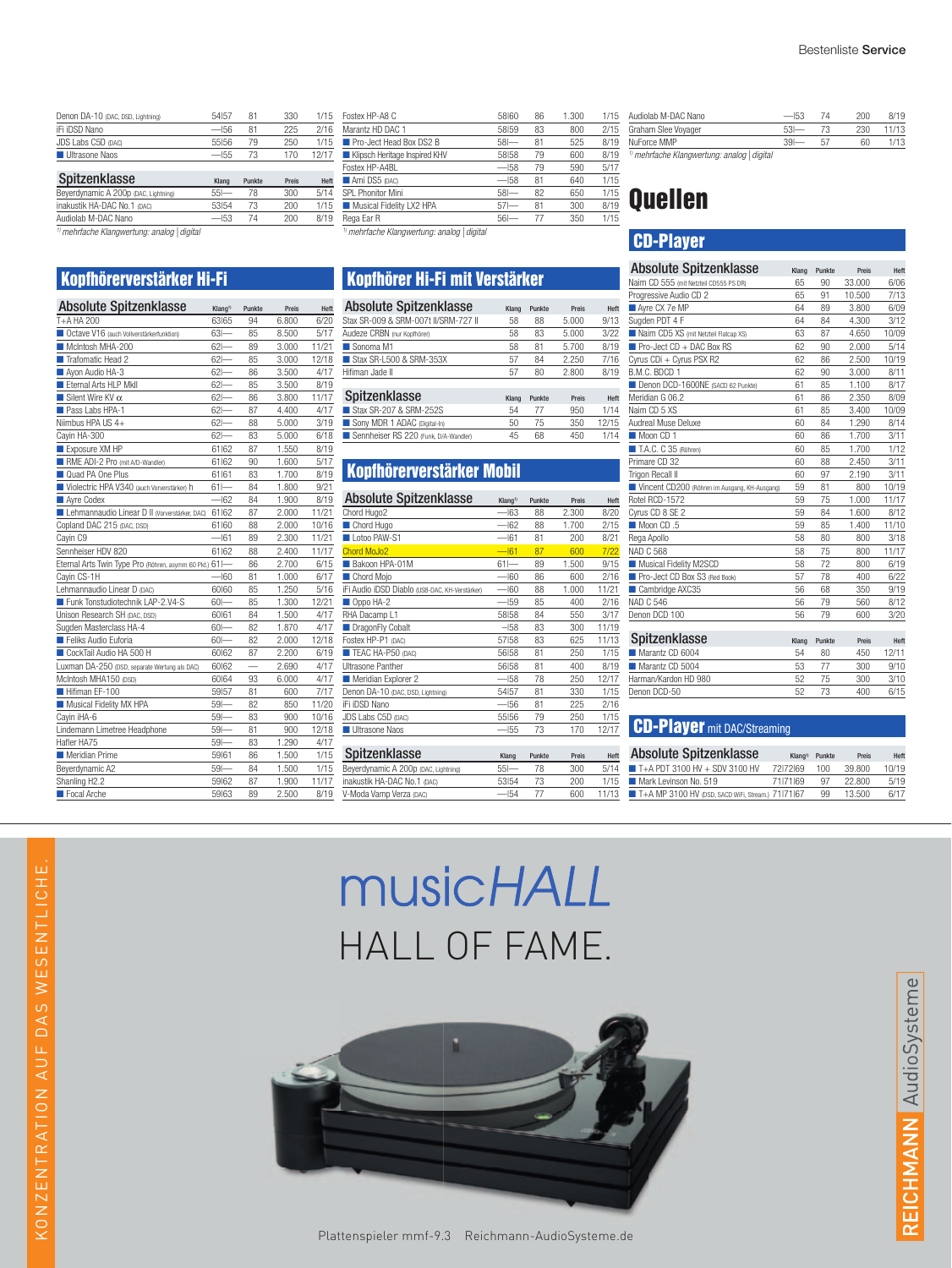| Denon DA-10 (DAC, DSD, Lightning)    | 54 57  | 81     | 330   | 1/15  |
|--------------------------------------|--------|--------|-------|-------|
| iFi iDSD Nano                        | $-56$  | 81     | 225   | 2/16  |
| JDS Labs C5D (DAC)                   | 55156  | 79     | 250   | 1/15  |
| <b>Ultrasone Naos</b>                | $-55$  | 73     | 170   | 12/17 |
|                                      |        |        |       |       |
| Spitzenklasse                        | Klang  | Punkte | Preis | Heft  |
| Beyerdynamic A 200p (DAC, Lightning) | $55 -$ | 78     | 300   | 5/14  |
| inakustik HA-DAC No.1 (DAC)          |        |        |       |       |
|                                      | 53154  | 73     | 200   | 1/15  |

*1)mehrfache Klangwertung: analog | digital*

#### Kopfhörerverstärker Hi-Fi

| <b>Absolute Spitzenklasse</b>                           | Klang <sup>1)</sup> | Punkte | Preis | Heft  |
|---------------------------------------------------------|---------------------|--------|-------|-------|
| T+A HA 200                                              | 63165               | 94     | 6.800 | 6/20  |
| Octave V16 (auch Vollverstärkerfunktion)                | $63 -$              | 85     | 8.500 | 5/17  |
| McIntosh MHA-200                                        | 62                  | 89     | 3.000 | 11/21 |
| Trafomatic Head 2                                       | 62                  | 85     | 3.000 | 12/18 |
| Ayon Audio HA-3                                         | $62 -$              | 86     | 3.500 | 4/17  |
| Eternal Arts HLP Mkll                                   | $62 -$              | 85     | 3.500 | 8/19  |
| Silent Wire KV $\alpha$                                 | $62 -$              | 86     | 3.800 | 11/17 |
| Pass Labs HPA-1                                         | $62 -$              | 87     | 4.400 | 4/17  |
| Niimbus HPA US 4+                                       | 62                  | 88     | 5.000 | 3/19  |
| Cayin HA-300                                            | 62                  | 83     | 5.000 | 6/18  |
| Exposure XM HP                                          | 61 62               | 87     | 1.550 | 8/19  |
| RME ADI-2 Pro (mit A/D-Wandler)                         | 61 62               | 90     | 1.600 | 5/17  |
| Quad PA One Plus                                        | 61 61               | 83     | 1.700 | 8/19  |
| Violectric HPA V340 (auch Vorverstärker) h              | $61 -$              | 84     | 1.800 | 9/21  |
| Ayre Codex                                              | $-162$              | 84     | 1.900 | 8/19  |
| Lehmannaudio Linear D II (Vorverstärker, DAC)           | 61 62               | 87     | 2.000 | 11/21 |
| Copland DAC 215 (DAC, DSD)                              | 61 60               | 88     | 2.000 | 10/16 |
| Cayin C9                                                | $-161$              | 89     | 2.300 | 11/21 |
| Sennheiser HDV 820                                      | 61 62               | 88     | 2.400 | 11/17 |
| Eternal Arts Twin Type Pro (Röhren, asymm 60 Pkt.) 611- |                     | 86     | 2.700 | 6/15  |
| Cavin CS-1H                                             | $-60$               | 81     | 1.000 | 6/17  |
| Lehmannaudio Linear D (DAC)                             | 60160               | 85     | 1.250 | 5/16  |
| Funk Tonstudiotechnik LAP-2.V4-S                        | $60 -$              | 85     | 1.300 | 12/21 |
| Unison Research SH (DAC, DSD)                           | 60161               | 84     | 1.500 | 4/17  |
| Sugden Masterclass HA-4                                 | $60 -$              | 82     | 1.870 | 4/17  |
| Feliks Audio Euforia                                    | $60 -$              | 82     | 2.000 | 12/18 |
| CockTail Audio HA 500 H                                 | 60 62               | 87     | 2.200 | 6/19  |
| Luxman DA-250 (DSD, separate Wertung als DAC)           | 60 62               |        | 2.690 | 4/17  |
| McIntosh MHA150 (DSD)                                   | 60164               | 93     | 6.000 | 4/17  |
| Hifiman EF-100                                          | 59157               | 81     | 600   | 7/17  |
| Musical Fidelity MX HPA                                 | $59 -$              | 82     | 850   | 11/20 |
| Cayin iHA-6                                             | $59-$               | 83     | 900   | 10/16 |
| Lindemann Limetree Headphone                            | $59 -$              | 81     | 900   | 12/18 |
| Hafler HA75                                             | $59 -$              | 83     | 1.290 | 4/17  |
| Meridian Prime                                          | 59161               | 86     | 1.500 | 1/15  |
| Beyerdynamic A2                                         | $59 -$              | 84     | 1.500 | 1/15  |
| Shanling H2.2                                           | 59 62               | 87     | 1.900 | 11/17 |
| Focal Arche                                             | 59163               | 89     | 2.500 | 8/19  |
|                                                         |                     |        |       |       |

| Fostex HP-A8 C                              | 58160  | 86 | 1.300 | 1/15 |
|---------------------------------------------|--------|----|-------|------|
| Marantz HD DAC 1                            | 58159  | 83 | 800   | 2/15 |
| <b>Pro-Ject Head Box DS2 B</b>              | $58 -$ | 81 | 525   | 8/19 |
| Klipsch Heritage Inspired KHV               | 58158  | 79 | 600   | 8/19 |
| Fostex HP-A4BL                              | $-158$ | 79 | 590   | 5/17 |
| Ami DS5 (DAC)                               | $-158$ | 81 | 640   | 1/15 |
| SPL Phonitor Mini                           | $58 -$ | 82 | 650   | 1/15 |
| Musical Fidelity LX2 HPA                    | $57 -$ | 81 | 300   | 8/19 |
| Rega Ear R                                  | $56 -$ | 77 | 350   | 1/15 |
| 1) mohrfogha Vlanmuortuna, analan Lilinital |        |    |       |      |

*1)mehrfache Klangwertung: analog | digital*

## Kopfhörer Hi-Fi mit Verstärker

| <b>Absolute Spitzenklasse</b>        | Klang | Punkte | Preis | Hef  |
|--------------------------------------|-------|--------|-------|------|
| Stax SR-009 & SRM-007t II/SRM-727 II | 58    | 88     | 5.000 | 9/13 |
| Audeze CRBN (nur Kopfhörer)          | 58    | 83     | 5.000 | 3/27 |
| Sonoma M1                            | 58    | 81     | 5.700 | 8/19 |
| Stax SR-L500 & SRM-353X              | 57    | 84     | 2.250 | 7/16 |
| Hifiman Jade II                      | 57    | 80     | 2.800 | 8/1  |
| Caitzanklosso                        |       |        |       |      |
|                                      |       |        |       |      |

| Spitzenklasse                         | Klang | Punkte | <b>Preis</b> | Hef   |
|---------------------------------------|-------|--------|--------------|-------|
| Stax SR-207 & SRM-252S                | 54    |        | 950          | 1/14  |
| Sony MDR 1 ADAC (Digital-In)          | 50    | 75     | 350          | 12/15 |
| Sennheiser RS 220 (Funk, D/A-Wandler) | 45    | 68     | 450          | 1/14  |
|                                       |       |        |              |       |

## Kopfhörerverstärker Mobil

| <b>Absolute Spitzenklasse</b>                  | Klang <sup>1</sup> | Punkte | Preis | Heft  |
|------------------------------------------------|--------------------|--------|-------|-------|
| Chord Hugo2                                    | $-163$             | 88     | 2.300 | 8/20  |
| Chord Hugo                                     | $-162$             | 88     | 1.700 | 2/15  |
| Lotoo PAW-S1                                   | $-161$             | 81     | 200   | 8/21  |
| <b>Chord MoJo2</b>                             | $-61$              | 87     | 600   | 7/22  |
| Bakoon HPA-01M                                 | $61 -$             | 89     | 1.500 | 9/15  |
| Chord Mojo                                     | $-160$             | 86     | 600   | 2/16  |
| IFI Audio IDSD Diablo (USB-DAC, KH-Verstärker) | $-160$             | 88     | 1.000 | 11/21 |
| Oppo HA-2                                      | $-159$             | 85     | 400   | 2/16  |
| RHA Dacamp L1                                  | 58158              | 84     | 550   | 3/17  |
| DragonFly Cobalt                               | $-158$             | 83     | 300   | 11/19 |
| Fostex HP-P1 (DAC)                             | 57158              | 83     | 625   | 11/13 |
| TEAC HA-P50 (DAC)                              | 56 58              | 81     | 250   | 1/15  |
| <b>Ultrasone Panther</b>                       | 56 58              | 81     | 400   | 8/19  |
| Meridian Explorer 2                            | $-158$             | 78     | 250   | 12/17 |
| Denon DA-10 (DAC, DSD, Lightning)              | 54 57              | 81     | 330   | 1/15  |
| iFi iDSD Nano                                  | $-156$             | 81     | 225   | 2/16  |
| JDS Labs C5D (DAC)                             | 55156              | 79     | 250   | 1/15  |
| Ultrasone Naos                                 | $-155$             | 73     | 170   | 12/17 |
|                                                |                    |        |       |       |
| Spitzenklasse                                  | Klang              | Punkte | Preis | Heft  |
| Beyerdynamic A 200p (DAC, Lightning)           | 551—               | 78     | 300   | 5/14  |
| inakustik HA-DAC No.1 (DAC)                    | 53154              | 73     | 200   | 1/15  |
| V-Moda Vamp Verza (DAC)                        | $-154$             | 77     | 600   | 11/13 |

| Audiolab M-DAC Nano                                    | $-53$  | 7Δ | 200 | 8/19  |  |
|--------------------------------------------------------|--------|----|-----|-------|--|
| Graham Slee Voyager                                    | $53 -$ |    | 230 | 11/13 |  |
| NuForce MMP                                            | $39 -$ | 57 | 60  | 1/13  |  |
| <sup>1)</sup> mehrfache Klangwertung: analog   digital |        |    |     |       |  |

## Quellen

## CD-Player

| <b>Absolute Spitzenklasse</b>                 | Klang | Punkte | Preis  | Heft  |
|-----------------------------------------------|-------|--------|--------|-------|
| Naim CD 555 (mit Netzteil CD555 PS DR)        | 65    | 90     | 33.000 | 6/06  |
| Progressive Audio CD 2                        | 65    | 91     | 10.500 | 7/13  |
| Ayre CX 7e MP                                 | 64    | 89     | 3.800  | 6/09  |
| Sugden PDT 4 F                                | 64    | 84     | 4.300  | 3/12  |
| Naim CD5 XS (mit Netzteil Flatcap XS)         | 63    | 87     | 4.650  | 10/09 |
| $\blacksquare$ Pro-Ject CD + DAC Box RS       | 62    | 90     | 2.000  | 5/14  |
| Cyrus CDi + Cyrus PSX R2                      | 62    | 86     | 2.500  | 10/19 |
| B.M.C. BDCD 1                                 | 62    | 90     | 3.000  | 8/11  |
| Denon DCD-1600NE (SACD 62 Punkte)             | 61    | 85     | 1.100  | 8/17  |
| Meridian G 06.2                               | 61    | 86     | 2.350  | 8/09  |
| Naim CD 5 XS                                  | 61    | 85     | 3.400  | 10/09 |
| Audreal Muse Deluxe                           | 60    | 84     | 1.290  | 8/14  |
| Moon CD 1                                     | 60    | 86     | 1.700  | 3/11  |
| T.A.C. C 35 (Röhren)                          | 60    | 85     | 1.700  | 1/12  |
| Primare CD 32                                 | 60    | 88     | 2.450  | 3/11  |
| Trigon Recall II                              | 60    | 97     | 2.190  | 3/11  |
| Vincent CD200 (Röhren im Ausgang, KH-Ausgang) | 59    | 81     | 800    | 10/19 |
| Rotel RCD-1572                                | 59    | 75     | 1.000  | 11/17 |
| Cyrus CD 8 SE 2                               | 59    | 84     | 1.600  | 8/12  |
| Moon CD .5                                    | 59    | 85     | 1.400  | 11/10 |
| Rega Apollo                                   | 58    | 80     | 800    | 3/18  |
| <b>NAD C 568</b>                              | 58    | 75     | 800    | 11/17 |
| Musical Fidelity M2SCD                        | 58    | 72     | 800    | 6/19  |
| Pro-Ject CD Box S3 (Red Book)                 | 57    | 78     | 400    | 6/22  |
| Cambridge AXC35                               | 56    | 68     | 350    | 9/19  |
| NAD C 546                                     | 56    | 79     | 560    | 8/12  |
| Denon DCD 100                                 | 56    | 79     | 600    | 3/20  |
| Spitzenklasse                                 | Klang | Punkte | Preis  | Heft  |
| Marantz CD 6004                               | 54    | 80     | 450    | 12/11 |
| Marantz CD 5004                               | 53    | 77     | 300    | 9/10  |
| Harman/Kardon HD 980                          | 52    | 75     | 300    | 3/10  |
| Denon DCD-50                                  | 52    | 73     | 400    | 6/15  |

#### **CD-Player** mit DAC/Streaming

| <b>Absolute Spitzenklasse</b>                     | Klang <sup>1)</sup> | Punkte | <b>Preis</b> | Hef   |
|---------------------------------------------------|---------------------|--------|--------------|-------|
| $\blacksquare$ T+A PDT 3100 HV + SDV 3100 HV      | 72 72 69            | 100    | 39.800       | 10/19 |
| Mark Levinson No. 519                             | 71 71 69            | 97     | 22.800       | 5/19  |
| T+A MP 3100 HV (DSD, SACD WIFI, Stream.) 71171167 |                     | 99     | 13.500       | 6/17  |

KONZENT R AT ION AUF DA S W E SE NTLICHE .

KONZENTRATION AUF DAS WESENTLICHE.

# **musicHALL** HALL OF FAME.

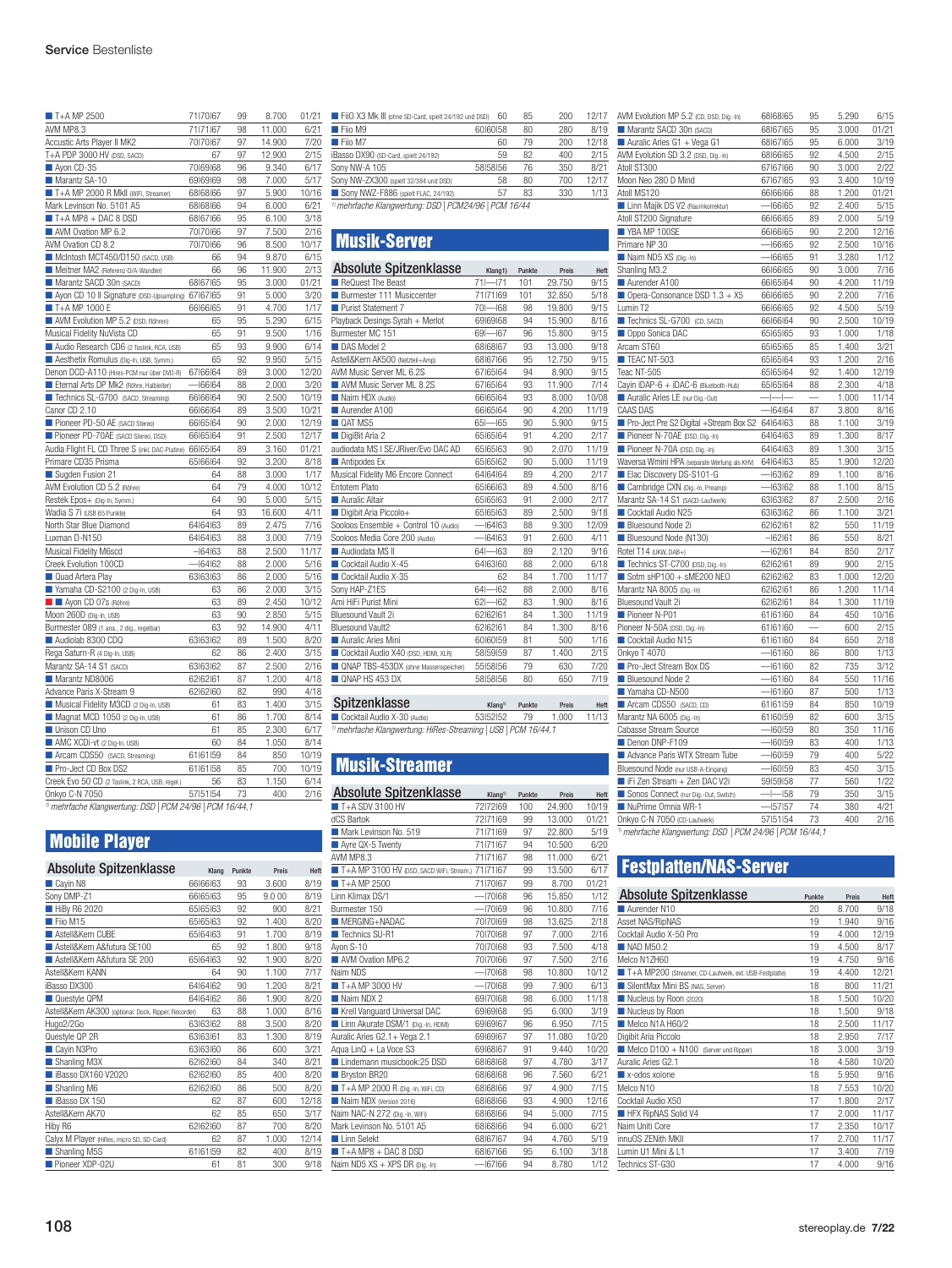| $\blacksquare$ T+A MP 2500                      | 71 70 67  | 99 | 8.700  | 01/21 |
|-------------------------------------------------|-----------|----|--------|-------|
| AVM MP8.3                                       | 71 71 67  | 98 | 11.000 | 6/21  |
| Accustic Arts Player II MK2                     | 70170167  | 97 | 14.900 | 7/20  |
| T+A PDP 3000 HV (DSD, SACD)                     | 67        | 97 | 12.900 | 2/15  |
| Ayon CD-35                                      | 70 69 68  | 96 | 9.340  | 6/17  |
| Marantz SA-10                                   | 69 69 69  | 98 | 7.000  | 5/17  |
| T+A MP 2000 R MkII (WiFi, Streamer)             | 68 68 66  | 97 | 5.900  | 10/16 |
| Mark Levinson No. 5101 A5                       | 68 68 66  | 94 | 6.000  | 6/21  |
| $\blacksquare$ T+A MP8 + DAC 8 DSD              | 68 67 66  | 95 | 6.100  | 3/18  |
| AVM Ovation MP 6.2                              | 70170166  | 97 | 7.500  | 2/16  |
| AVM Ovation CD 8.2                              | 70170166  | 96 | 8.500  | 10/17 |
| McIntosh MCT450/D150 (SACD, USB)                | 66        | 94 | 9.870  | 6/15  |
| Meitner MA2 (Referenz-D/A-Wandler)              | 66        | 96 | 11.900 | 2/13  |
| Marantz SACD 30n (SACD)                         | 68 67 65  | 95 | 3.000  | 01/21 |
| Ayon CD 10 II Signature (DSD-Upsampling)        | 67 67 65  | 91 | 5.000  | 3/20  |
| T+A MP 1000 E                                   | 66 66 65  | 91 | 4.700  | 1/17  |
| AVM Evolution MP 5.2 (DSD, Röhren)              | 65        | 95 | 5.290  | 6/15  |
| Musical Fidelity NuVista CD                     | 65        | 91 | 9.500  | 1/16  |
| Audio Research CD6 (2 Toslink, RCA, USB)        | 65        | 93 | 9.900  | 6/14  |
| Aesthetix Romulus (Dig-In, USB, Symm.)          | 65        | 92 | 9.950  | 5/15  |
| Denon DCD-A110 (Hires-PCM nur über DVD-R)       | 67 66 64  | 89 | 3.000  | 12/20 |
| Eternal Arts DP Mk2 (Röhre, Halbleiter)         | 166164    | 88 | 2.000  | 3/20  |
| Technics SL-G700 (SACD, Streaming)              | 66 66 64  | 90 | 2.500  | 10/19 |
| Canor CD 2.10                                   | 66 66 64  | 89 | 3.500  | 10/21 |
| Pioneer PD-50 AE (SACD Stereo)                  | 66 65 64  | 90 | 2.000  | 12/19 |
| Pioneer PD-70AE (SACD Stereo, DSD)              | 66 65 64  | 91 | 2.500  | 12/17 |
| Audia Flight FL CD Three S (inkl. DAC-Platine)  | 66 65 64  | 89 | 3.160  | 01/21 |
| Primare CD35 Prisma                             | 65 66 64  | 92 | 3.200  | 8/18  |
| Suaden Fusion 21                                | 64        | 88 | 3.000  | 1/17  |
| AVM Evolution CD 5.2 (Röhre)                    | 64        | 79 | 4.000  | 10/12 |
| Restek Epos+ (Dig-In, Symm.)                    | 64        | 90 | 5.000  | 5/15  |
| Wadia S 7i (USB 65 Punkte)                      | 64        | 93 | 16.600 | 4/11  |
| North Star Blue Diamond                         | 64 64 63  | 89 | 2.475  | 7/16  |
| Luxman D-N150                                   | 64 64 63  | 88 | 3.000  | 7/19  |
| Musical Fidelity M6scd                          | $-164163$ | 88 | 2.500  | 11/17 |
| Creek Evolution 100CD                           | $-164162$ | 88 | 2.000  | 5/16  |
| Quad Artera Play                                | 63 63 63  | 86 | 2.000  | 5/16  |
| Yamaha CD-S2100 (2 Dig-In, USB)                 | 63        | 86 | 2.000  | 3/15  |
| Ayon CD 07s (Röhre)                             | 63        | 89 | 2.450  | 10/12 |
| Moon 260D (Dig-In, USB)                         | 63        | 90 | 2.850  | 5/15  |
| Burmester 089 (1 ana., 2 dig., regelbar)        | 63        | 92 | 14.900 | 4/11  |
| Audiolab 8300 CDQ                               | 63 63 62  | 89 | 1.500  | 8/20  |
| Rega Saturn-R (4 Dig-In, USB)                   | 62        | 86 | 2.400  | 3/15  |
| Marantz SA-14 S1 (SACD)                         | 63 63 62  | 87 | 2.500  | 2/16  |
| Marantz ND8006                                  | 62 62 61  | 87 | 1.200  | 4/18  |
| Advance Paris X-Stream 9                        | 62 62 60  | 82 | 990    | 4/18  |
| Musical Fidelity M3CD (2 Dig-In, USB)           | 61        | 83 | 1.400  | 3/15  |
| Magnat MCD 1050 (2 Dig-In, USB)                 | 61        | 86 | 1.700  | 8/14  |
| Unison CD Uno                                   | 61        | 85 | 2.300  | 6/17  |
| AMC XCDI-vt (2 Dig-In, USB)                     | 60        | 84 | 1.050  | 8/14  |
| Arcam CDS50 (SACD, Streaming)                   | 61 61 59  | 84 | 850    | 10/19 |
| Pro-Ject CD Box DS2                             | 61 61 58  | 85 | 700    | 10/19 |
| Creek Evo 50 CD (2 Toslink, 2 RCA, USB, regel.) | 56        | 83 | 1.150  | 6/14  |
| Onkyo C-N 7050                                  | 57 51 54  | 73 | 400    | 2/16  |

*1)mehrfache Klangwertung: DSD| PCM 24/96 | PCM 16/44,1*

## Mobile Player

| <b>Absolute Spitzenklasse</b>                        | Klang    | Punkte | Preis  | Heft  |
|------------------------------------------------------|----------|--------|--------|-------|
| Cayin N8                                             | 66166163 | 93     | 3.600  | 8/19  |
| Sony DMP-Z1                                          | 66 65 63 | 95     | 9.0 00 | 8/19  |
| HiBy R6 2020                                         | 65 65 63 | 92     | 900    | 8/21  |
| Fiio M15                                             | 65 65 63 | 92     | 1.400  | 8/20  |
| Astell&Kern CUBF                                     | 65 64 63 | 91     | 1.700  | 8/19  |
| Astell&Kern A&futura SE100                           | 65       | 92     | 1.800  | 9/18  |
| Astell&Kern A&futura SE 200                          | 65 64 63 | 92     | 1.900  | 8/20  |
| Astell&Kern KANN                                     | 64       | 90     | 1.100  | 7/17  |
| iBasso DX300                                         | 64 64 62 | 90     | 1.200  | 8/21  |
| Questyle QPM                                         | 64 64 62 | 86     | 1.900  | 8/20  |
| Astell&Kern AK300 (optional: Dock, Ripper, Recorder) | 63       | 88     | 1.000  | 8/16  |
| Hugo2/2Go                                            | 63 63 62 | 88     | 3.500  | 8/20  |
| Questyle QP 2R                                       | 63 63 61 | 83     | 1.300  | 8/19  |
| Cayin N3Pro                                          | 63 63 60 | 86     | 600    | 3/21  |
| Shanling M3X                                         | 62 62 60 | 84     | 340    | 8/21  |
| Basso DX160 V2020                                    | 62162160 | 85     | 400    | 8/20  |
| Shanling M6                                          | 62 62 60 | 86     | 500    | 8/20  |
| Basso DX 150                                         | 62       | 87     | 600    | 12/18 |
| Astell&Kern AK70                                     | 62       | 85     | 650    | 3/17  |
| Hiby R6                                              | 62 62 60 | 87     | 700    | 8/20  |
| Calyx M Player (HiRes, micro SD, SD-Card)            | 62       | 87     | 1.000  | 12/14 |
| Shanling M5S                                         | 61 61 59 | 82     | 400    | 8/19  |
| Pioneer XDP-02U                                      | 61       | 81     | 300    | 9/18  |

| FiiO X3 Mk III (ohne SD-Card, spielt 24/192 und DSD) | 60                                                       | 85 | 200 | 12/17 |  |  |  |
|------------------------------------------------------|----------------------------------------------------------|----|-----|-------|--|--|--|
| Fiio M9                                              | 60 60 58                                                 | 80 | 280 | 8/19  |  |  |  |
| Fiio M7                                              | 60                                                       | 79 | 200 | 12/18 |  |  |  |
| iBasso DX90 (SD-Card, spielt 24/192)                 | 59                                                       | 82 | 400 | 2/15  |  |  |  |
| Sony NW-A 105                                        | 58158156                                                 | 76 | 350 | 8/21  |  |  |  |
| Sony NW-ZX300 (spielt 32/384 und DSD)                | 58                                                       | 80 | 700 | 12/17 |  |  |  |
| Sony NWZ-F886 (spielt FLAC, 24/192)                  | 57                                                       | 83 | 330 | 1/13  |  |  |  |
|                                                      | Il mobilecto de Vlancuschuse, DCD   DCMO4/OC   DCM 10/44 |    |     |       |  |  |  |

*1)mehrfache Klangwertung: DSD| PCM24/96 | PCM 16/44*

## Musik-Server

| Absolute Spitzenklasse                | Klang1)          | Punkte | Preis  | Heft  |
|---------------------------------------|------------------|--------|--------|-------|
| ReQuest The Beast                     | $71 - 71$        | 101    | 29.750 | 9/15  |
| Burmester 111 Musiccenter             | 71 71 69         | 101    | 32.850 | 5/18  |
| Purist Statement 7                    | $70 - 68$        | 98     | 19.800 | 9/15  |
| Playback Desings Syrah + Merlot       | 69 69 68         | 94     | 15.900 | 8/16  |
| Burmester MC 151                      | $69 - 67$        | 96     | 15,800 | 9/15  |
| DAS Model 2                           | 68 68 67         | 93     | 13.000 | 9/18  |
| Astell&Kern AK500 (Netzteil+Amp)      | 68 67 66         | 95     | 12.750 | 9/15  |
| AVM Music Server ML 6.2S              | 67  65  64       | 94     | 8.900  | 9/15  |
| AVM Music Server ML 8.2S              | 67  65  64       | 93     | 11.900 | 7/14  |
| Naim HDX (Audio)                      | 66 65 64         | 93     | 8.000  | 10/08 |
| Aurender A100                         | 66 65 64         | 90     | 4.200  | 11/19 |
| QAT MS5                               | $65 - 65$        | 90     | 5.900  | 9/15  |
| DigiBit Aria 2                        | 65 65 64         | 91     | 4.200  | 2/17  |
| audiodata MS I SE/JRiver/Evo DAC AD   | 65 65 63         | 90     | 2.070  | 11/19 |
| Antipodes Ex                          | 65 65 62         | 90     | 5.000  | 11/19 |
| Musical Fidelity M6 Encore Connect    | 64 64 64         | 89     | 4.200  | 2/17  |
| <b>Entotem Plato</b>                  | 65 66 63         | 89     | 4.500  | 8/16  |
| Auralic Altair                        | 65 65 63         | 91     | 2.000  | 2/17  |
| Digibit Aria Piccolo+                 | 65 65 63         | 89     | 2.500  | 9/18  |
| Sooloos Ensemble + Control 10 (Audio) | $-164163$        | 88     | 9.300  | 12/09 |
| Sooloos Media Core 200 (Audio)        | $-164163$        | 91     | 2.600  | 4/11  |
| Audiodata MS II                       | $64 - 63$        | 89     | 2.120  | 9/16  |
| Cocktail Audio X-45                   | 64 63 60         | 88     | 2.000  | 6/18  |
| Cocktail Audio X-35                   | 62               | 84     | 1.700  | 11/17 |
| Sony HAP-Z1ES                         | $-162$<br>$64 -$ | 88     | 2.000  | 8/16  |
| Ami HiFi Purist Mini                  | $62 - 62$        | 83     | 1.900  | 8/16  |
| Bluesound Vault 2i                    | 62 62 61         | 84     | 1.300  | 11/19 |
| Bluesound Vault2                      | 62 62 61         | 84     | 1.300  | 8/16  |
| Auralic Aries Mini                    | 60160159         | 81     | 500    | 1/16  |
| Cocktail Audio X40 (DSD, HDMI, XLR)   | 58159159         | 87     | 1.400  | 2/15  |
| QNAP TBS-453DX (ohne Massenspeicher)  | 55 58 56         | 79     | 630    | 7/20  |
| ONAP HS 453 DX                        | 58 58 56         | 80     | 650    | 7/19  |
|                                       |                  |        |        |       |

Spitzenklasse Klang1) Punkte Preis Heft ■ Cocktail Audio X-30{(Audio)} 53|52|52 79 1.000 11/13 *1)mehrfache Klangwertung: HiRes-Streaming |USB| PCM 16/44,1*

## Musik-Streamer

| <b>Absolute Spitzenklasse</b>            | Klang <sup>1)</sup> | Punkte | Preis  | Heft  |  |  |
|------------------------------------------|---------------------|--------|--------|-------|--|--|
| $T+A$ SDV 3100 HV                        | 72 72 69            | 100    | 24.900 | 10/19 |  |  |
| dCS Bartok                               | 72171169            | 99     | 13.000 | 01/21 |  |  |
| Mark Levinson No. 519                    | 71 71 69            | 97     | 22.800 | 5/19  |  |  |
| Ayre QX-5 Twenty                         | 71 71 67            | 94     | 10.500 | 6/20  |  |  |
| AVM MP8.3                                | 71 71 67            | 98     | 11.000 | 6/21  |  |  |
| T+A MP 3100 HV (DSD, SACD WiFi, Stream.) | 71 71 67            | 99     | 13.500 | 6/17  |  |  |
| $T+AMP2500$                              | 71 70 67            | 99     | 8.700  | 01/21 |  |  |
| I inn Klimax DS/1                        | $-170$ 68           | 96     | 15.850 | 1/12  |  |  |
| Burmester 150                            | $-170169$           | 96     | 10.800 | 7/16  |  |  |
| MERGING+NADAC                            | 70170169            | 98     | 13.625 | 2/18  |  |  |
| Technics SU-R1                           | 70170168            | 97     | 7.000  | 2/16  |  |  |
| Avon S-10                                | 70170168            | 93     | 7.500  | 4/18  |  |  |
| AVM Ovation MP6.2                        | 70170166            | 97     | 7.500  | 2/16  |  |  |
| Naim NDS                                 | $-170$ 68           | 98     | 10.800 | 10/12 |  |  |
| $T+AMP3000HV$                            | $-170$ 68           | 99     | 7.900  | 6/13  |  |  |
| Naim NDX 2                               | 69 70 68            | 98     | 6.000  | 11/18 |  |  |
| Krell Vanguard Universal DAC             | 69 69 68            | 95     | 6.000  | 3/19  |  |  |
| Linn Akurate DSM/1 (Dig.-In, HDMI)       | 69 69 67            | 96     | 6.950  | 7/15  |  |  |
| Auralic Aries G2.1+ Vega 2.1             | 69 69 67            | 97     | 11.080 | 10/20 |  |  |
| Agua LinQ + La Voce S3                   | 69 68 67            | 91     | 9.440  | 10/20 |  |  |
| Lindemann musicbook:25 DSD               | 68 68 68            | 97     | 4.780  | 3/17  |  |  |
| Bryston BR20                             | 68 68 68            | 96     | 7.560  | 6/21  |  |  |
| T+A MP 2000 R (Dig.-In, WiFi, CD)        | 68 68 66            | 97     | 4.900  | 7/15  |  |  |
| Naim NDX (Version 2016)                  | 68 68 66            | 93     | 4.900  | 12/16 |  |  |
| Naim NAC-N 272 (Dig.-In, WiFi)           | 68 68 66            | 94     | 5.000  | 7/15  |  |  |
| Mark Levinson No. 5101 A5                | 68 68 66            | 94     | 6.000  | 6/21  |  |  |
| I I inn Selekt                           | 68 67 67            | 94     | 4.760  | 5/19  |  |  |
| $T+A MP8 + DAC 8 DSD$                    | 68 67 66            | 95     | 6.100  | 3/18  |  |  |
| Naim ND5 XS + XPS DR (Dig.-In)           | $-6766$             | 94     | 8.780  | 1/12  |  |  |
|                                          |                     |        |        |       |  |  |

| AVM Evolution MP 5.2 (CD, DSD, Dig.-In)      | 68 68 65           | 95 | 5.290 | 6/15  |
|----------------------------------------------|--------------------|----|-------|-------|
| Marantz SACD 30n (SACD)                      | 68 67 65           | 95 | 3.000 | 01/21 |
| Auralic Aries G1 + Vega G1                   | 68 67 65           | 95 | 6.000 | 3/19  |
| AVM Evolution SD 3.2 (DSD, Dig.-In)          | 68 66 65           | 92 | 4.500 | 2/15  |
| Atoll ST300                                  | 67 67 66           | 90 | 3.000 | 2/22  |
| Moon Neo 280 D Mind                          | 67 67 65           | 93 | 3.400 | 10/19 |
| Atoll MS120                                  | 66 66 66           | 88 | 1.200 | 01/21 |
| Linn Majik DS V2 (Raumkorrektur)             | $  66$ $65$        | 92 | 2.400 | 5/15  |
| Atoll ST200 Signature                        | 66 66 65           | 89 | 2.000 | 5/19  |
| YBA MP 100SE                                 | 66 66 65           | 90 | 2.200 | 12/16 |
| Primare NP 30                                | $  66$ $65$        | 92 | 2.500 | 10/16 |
| Naim ND5 XS (Dig.-In)                        | $  66$ $65$        | 91 | 3.280 | 1/12  |
| Shanling M3.2                                | 66 66 65           | 90 | 3.000 | 7/16  |
| Aurender A100                                | 66 65 64           | 90 | 4.200 | 11/19 |
| Opera-Consonance DSD 1.3 + X5                | 66 66 65           | 90 | 2.200 | 7/16  |
| Lumin T2                                     | 66 66 65           | 92 | 4.500 | 5/19  |
| Technics SL-G700 (CD, SACD)                  | 66 66 64           | 90 | 2.500 | 10/19 |
| Oppo Sonica DAC                              | 65 65 65           | 93 | 1.000 | 1/18  |
| Arcam ST60                                   | 65 65 65           | 85 | 1.400 | 3/21  |
| TEAC NT-503                                  | 65 65 64           | 93 | 1.200 | 2/16  |
| Teac NT-505                                  | 65 65 64           | 92 | 1.400 | 12/19 |
| Cayin iDAP-6 + iDAC-6 (Bluetooth-Hub)        | 65 65 64           | 88 | 2.300 | 4/18  |
| Auralic Aries LE (nur Dig.-Out)              | $  -$              |    | 1.000 | 11/14 |
| CAAS DAS                                     | $-164164$          | 87 | 3.800 | 8/16  |
| Pro-Ject Pre S2 Digital +Stream Box S2       | 64 64 63           | 88 | 1.100 | 3/19  |
| Pioneer N-70AE (DSD, Dig.-In)                | 64 64 63           | 89 | 1.300 | 8/17  |
| Pioneer N-70A (DSD, Dig.-In)                 | 64 64 63           | 89 | 1.300 | 3/15  |
| Waversa Wmini HPA (separate Wertung als KHV) | 64 64 63           | 85 | 1.900 | 12/20 |
| Elac Discovery DS-S101-G                     | $-163162$          | 89 | 1.100 | 8/16  |
| Cambridge CXN (Dig.-In, Preamp)              | $-163162$          | 88 | 1.100 | 8/15  |
| Marantz SA-14 S1 (SACD-Laufwerk)             | 63 63 62           | 87 | 2.500 | 2/16  |
|                                              |                    |    |       |       |
| Cocktail Audio N25                           | 63 63 62           | 86 | 1.100 | 3/21  |
| Bluesound Node 2i                            | 62 62 161          | 82 | 550   | 11/19 |
| Bluesound Node (N130)                        | $-162161$          | 86 | 550   | 8/21  |
| Rotel T14 (UKW, DAB+)                        | $-162161$          | 84 | 850   | 2/17  |
| Technics ST-C700 (DSD, Dig.-In)              | 62 62 61           | 89 | 900   | 2/15  |
| Sotm sHP100 + sME200 NEO                     | 62 62 62           | 83 | 1.000 | 12/20 |
| Marantz NA 8005 (Dig.-In)                    | 62 62 61           | 86 | 1.200 | 11/14 |
| Bluesound Vault 2i                           | 62 62 61           | 84 | 1.300 | 11/19 |
| Pioneer N-P01                                | 61 61 60           | 84 | 450   | 10/16 |
| Pioneer N-50A (DSD, Dig.-In)                 | 61 61 60           |    | 600   | 2/15  |
| Cocktail Audio N15                           | 61 61 60           | 84 | 650   | 2/18  |
| Onkyo T 4070                                 | $-6160$            | 86 | 800   | 1/13  |
| Pro-Ject Stream Box DS                       | $-161160$          | 82 | 735   | 3/12  |
| Bluesound Node 2                             | $-161160$          | 84 | 550   | 11/16 |
| Yamaha CD-N500                               | $-161160$          | 87 | 500   | 1/13  |
| Arcam CDS50 (SACD, CD)                       | 61 61 59           | 84 | 850   | 10/19 |
| Marantz NA 6005 (Dig.-In)                    | 61 60 59           | 82 | 600   | 3/15  |
| Cabasse Stream Source                        | $-160159$          | 80 | 350   | 11/16 |
| Denon DNP-F109                               | $-160159$          | 83 | 400   | 1/13  |
| Advance Paris WTX Stream Tube                | $-160159$          | 79 | 400   | 5/22  |
| Bluesound Node (nur USB-A-Eingang)           | $-60,59$           | 83 | 450   | 3/15  |
| Fi Zen Stream + Zen DAC V2i                  | 59159158           | 77 | 560   | 1/22  |
| Sonos Connect (nur Dig.-Out, Switch)         | $\vdash$<br>$-158$ | 79 | 350   | 3/15  |
| NuPrime Omnia WR-1                           | $-157157$          | 74 | 380   | 4/21  |
| Onkyo C-N 7050 (CD-Laufwerk)                 | 57 51 54           | 73 | 400   | 2/16  |

*1)mehrfache Klangwertung: DSD | PCM 24/96 | PCM 16/44,1*

## Festplatten/NAS-Server

| <b>Absolute Spitzenklasse</b>                          | Punkte | Preis | Heft  |
|--------------------------------------------------------|--------|-------|-------|
| Aurender N10                                           | 20     | 8.700 | 9/18  |
| Asset NAS/RipNAS                                       | 19     | 1.940 | 9/16  |
| Cocktail Audio X-50 Pro                                | 19     | 4.000 | 12/19 |
| NAD M50.2                                              | 19     | 4.500 | 8/17  |
| Melco N1ZH60                                           | 19     | 4.750 | 9/16  |
| T+A MP200 (Streamer, CD-Laufwerk, ext. USB-Festplatte) | 19     | 4.400 | 12/21 |
| SilentMax Mini BS (NAS, Server)                        | 18     | 800   | 11/21 |
| Nucleus by Roon (2020)                                 | 18     | 1.500 | 10/20 |
| Nucleus by Roon                                        | 18     | 1.500 | 9/18  |
| Melco N1A H60/2                                        | 18     | 2.500 | 11/17 |
| Digibit Aria Piccolo                                   | 18     | 2.950 | 7/17  |
| Melco D100 + N100 (Server und Ripper)                  | 18     | 3.000 | 3/19  |
| Auralic Aries G2.1                                     | 18     | 4.580 | 10/20 |
| x-odos xolone                                          | 18     | 5.950 | 9/16  |
| Melco N10                                              | 18     | 7.553 | 10/20 |
| Cocktail Audio X50                                     | 17     | 1.800 | 2/17  |
| HFX RipNAS Solid V4                                    | 17     | 2.000 | 11/17 |
| Naim Uniti Core                                        | 17     | 2.350 | 10/17 |
| innuOS ZENith MKII                                     | 17     | 2.700 | 11/17 |
| Lumin U1 Mini & L1                                     | 17     | 3.400 | 7/19  |
| Technics ST-G30                                        | 17     | 4.000 | 9/16  |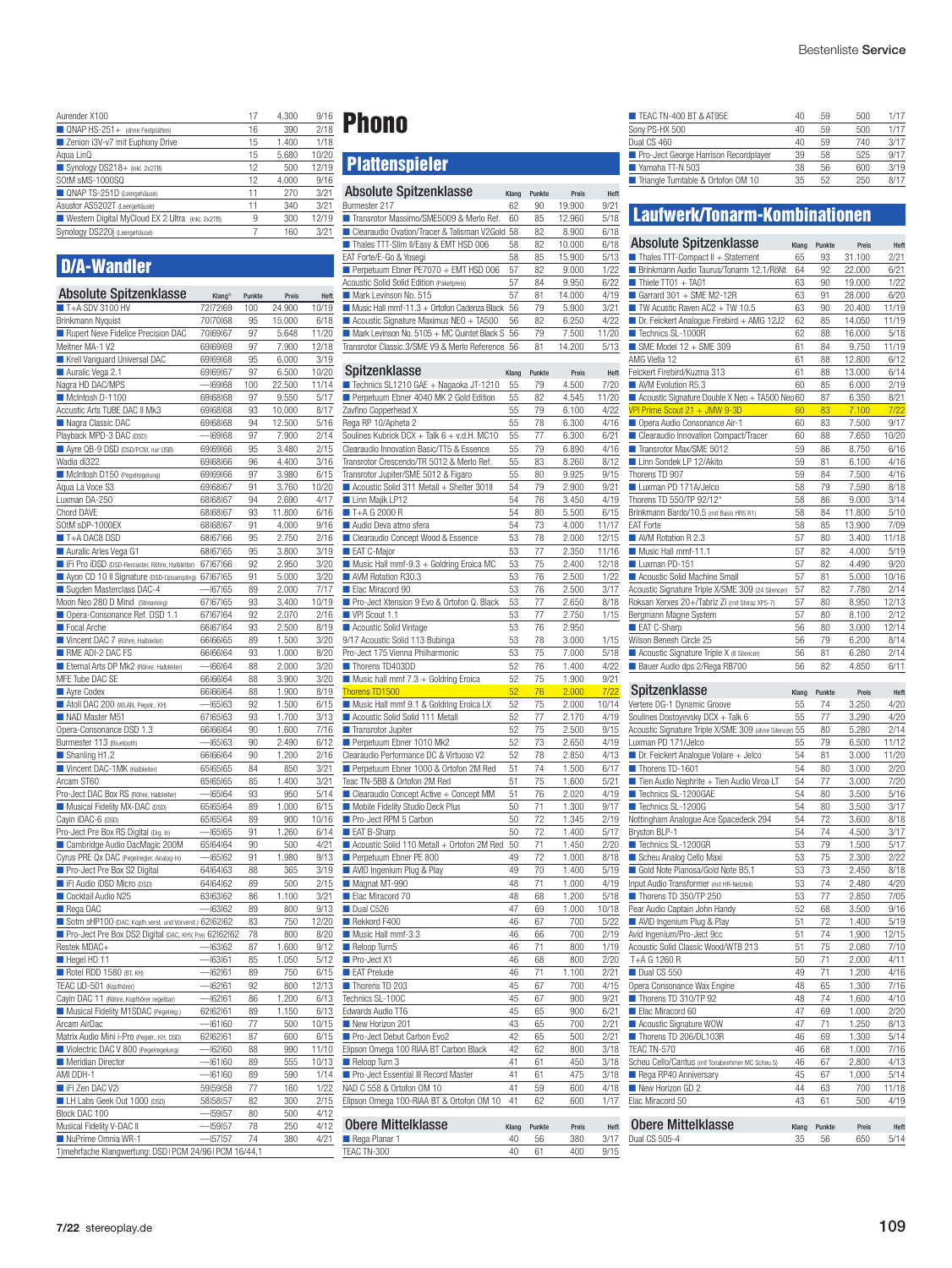| Aurender X100                                    | 17 | 4.300 | 9/16  |
|--------------------------------------------------|----|-------|-------|
| QNAP HS-251+ (ohne Festplatten)                  | 16 | 390   | 2/18  |
| Zenion i3V-v7 mit Euphony Drive                  | 15 | 1.400 | 1/18  |
| Agua LinQ                                        | 15 | 5.680 | 10/20 |
| Synology DS218+ (inkl. 2x2TB)                    | 12 | 500   | 12/19 |
| SOtM sMS-1000SQ                                  | 12 | 4.000 | 9/16  |
| QNAP TS-251D (Leergehäuse)                       | 11 | 270   | 3/21  |
| Asustor AS5202T (Leergehäuse)                    | 11 | 340   | 3/21  |
| Western Digital MyCloud EX 2 Ultra (inkl. 2x2TB) | 9  | 300   | 12/19 |
| Synology DS220j (Leergehäuse)                    | 7  | 160   | 3/21  |
|                                                  |    |       |       |

## D/A-Wandler

| <b>Absolute Spitzenklasse</b>                             | Klang <sup>1)</sup>  | Punkte   | Preis          | Heft          |
|-----------------------------------------------------------|----------------------|----------|----------------|---------------|
| $\blacksquare$ T+A SDV 3100 HV                            | 72172169             | 100      | 24.900         | 10/19         |
| Brinkmann Nyquist                                         | 70170168             | 95       | 15.000         | 6/18          |
| Rupert Neve Fidelice Precision DAC                        | 70 69 67             | 97       | 5.648          | 11/20         |
| Meitner MA-1 V2                                           | 69169169             | 97       | 7.900          | 12/18         |
| Krell Vanguard Universal DAC<br>Auralic Vega 2.1          | 69 69 68<br>69 69 67 | 95<br>97 | 6.000<br>6.500 | 3/19<br>10/20 |
| Nagra HD DAC/MPS                                          | $-169168$            | 100      | 22.500         | 11/14         |
| McIntosh D-1100                                           | 69 68 68             | 97       | 9.550          | 5/17          |
| Accustic Arts TUBE DAC II Mk3                             | 69 68 68             | 93       | 10.000         | 8/17          |
| Nagra Classic DAC                                         | 69168168             | 94       | 12.500         | 5/16          |
| Playback MPD-3 DAC (DSD)                                  | $-$ 69168            | 97       | 7.900          | 2/14          |
| Ayre QB-9 DSD (DSD/PCM, nur USB)                          | 69 69 66             | 95       | 3.480          | 2/15          |
| Wadia di322                                               | 69168166             | 96       | 4.400          | 3/16          |
| McIntosh D150 (Pegelregelung)                             | 69169166             | 97       | 3.980          | 6/15          |
| Agua La Voce S3                                           | 69 68 67             | 91       | 3.760          | 10/20         |
| Luxman DA-250                                             | 68 68 67             | 94       | 2.690          | 4/17          |
| Chord DAVE                                                | 68 68 67             | 93       | 11.800         | 6/16          |
| SOtM sDP-1000EX                                           | 68 68 67             | 91       | 4.000          | 9/16          |
| T+A DAC8 DSD<br>Auralic Aries Vega G1                     | 68 67 66             | 95       | 2.750          | 2/16          |
| Fi Pro iDSD (DSD-Remaster, Röhre, Halbleiter)             | 68 67 65<br>67 67 66 | 95<br>92 | 3.800<br>2.950 | 3/19<br>3/20  |
| Ayon CD 10 II Signature (DSD-Upsampling)                  | 67 67 65             | 91       | 5.000          | 3/20          |
| Sugden Masterclass DAC-4                                  | $  67$ $65$          | 89       | 2.000          | 7/17          |
| Moon Neo 280 D Mind (Streaming)                           | 67 67 65             | 93       | 3.400          | 10/19         |
| Opera-Consonance Ref. DSD 1.1                             | 67 67 64             | 92       | 2.070          | 2/16          |
| Focal Arche                                               | 66 67 64             | 93       | 2.500          | 8/19          |
| Vincent DAC 7 (Röhre, Halbleiter)                         | 66 66 65             | 89       | 1.500          | 3/20          |
| RME ADI-2 DAC FS                                          | 66 66 64             | 93       | 1.000          | 8/20          |
| Eternal Arts DP Mk2 (Röhre, Halbleiter)                   | $  66$ $64$          | 88       | 2.000          | 3/20          |
| MFE Tube DAC SE                                           | 66 66 64             | 88       | 3.900          | 3/20          |
| Ayre Codex                                                | 66 66 64             | 88       | 1.900          | 8/19          |
| Atoll DAC 200 (WLAN, Pegelr., KH)                         | $  65$ $63$          | 92       | 1.500          | 6/15          |
| NAD Master M51                                            | 67 65 63             | 93       | 1.700          | 3/13          |
| Opera-Consonance DSD 1.3                                  | 66 66 64             | 90       | 1.600          | 7/16          |
| Burmester 113 (Bluetooth)                                 | $  65$ $63$          | 90       | 2.490          | 6/12          |
| Shanling H1.2                                             | 66 66 64             | 90       | 1.200          | 2/16          |
| Vincent DAC-1MK (Halbleiter)<br>Arcam ST60                | 65 65 65<br>65 65 65 | 84<br>85 | 850<br>1.400   | 3/21<br>3/21  |
| Pro-Ject DAC Box RS (Röhre, Halbleiter)                   | -165164              | 93       | 950            | 5/14          |
| Musical Fidelity MX-DAC (DSD)                             | 65 65 64             | 89       | 1.000          | 6/15          |
| Cayin iDAC-6 (DSD)                                        | 65 65 64             | 89       | 900            | 10/16         |
| Pro-Ject Pre Box RS Digital (Dig. In)                     | $-165165$            | 91       | 1.260          | 6/14          |
| Cambridge Audio DacMagic 200M                             | 65 64 64             | 90       | 500            | 4/21          |
| Cyrus PRE Qx DAC (Pegelregler, Analog-In)                 | $-165162$            | 91       | 1.980          | 9/13          |
| Pro-Ject Pre Box S2 Digital                               | 64 64 63             | 88       | 365            | 3/19          |
| Fi Audio iDSD Micro (DSD)                                 | 64 64 62             | 89       | 500            | 2/15          |
| Cocktail Audio N25                                        | 63 63 62             | 86       | 1.100          | 3/21          |
| Rega DAC                                                  | $-163162$            | 89       | 800            | 9/13          |
| Sotm sHP100 (DAC, Kopfh.verst. und Vorverst.) 62162162    |                      | 83       | 750            | 12/20         |
| Pro-Ject Pre Box DS2 Digital (DAC, KHV, Pre) 62162162     |                      | 78       | 800            | 8/20          |
| Restek MDAC+                                              | $-163162$            | 87       | 1.600          | 9/12          |
| Hegel HD 11                                               | $-163161$            | 85       | 1.050          | 5/12          |
| Rotel RDD 1580 (BT, KH)<br>TEAC UD-501 (Kopfhörer)        | $-162161$<br>-162161 | 89<br>92 | 750<br>800     | 6/15          |
| Cayin DAC 11 (Röhre, Kopfhörer regelbar)                  | $-162161$            | 86       | 1.200          | 12/13<br>6/13 |
| Musical Fidelity M1SDAC (Pegelreg.)                       | 62 62 61             | 89       | 1.150          | 6/13          |
| Arcam AirDac                                              | -161160              | 77       | 500            | 10/15         |
| Matrix Audio Mini i-Pro (Pegelr., KH, DSD)                | 62 62 61             | 87       | 600            | 6/15          |
| Violectric DAC V 800 (Pegelregelung)                      | -162160              | 88       | 990            | 11/10         |
| Meridian Director                                         | -161 160             | 89       | 555            | 10/13         |
| AMI DDH-1                                                 | -161160              | 89       | 590            | 1/14          |
| Fi Zen DAC V2i                                            | 59 59 58             | 77       | 160            | 1/22          |
| LH Labs Geek Out 1000 (DSD)                               | 58 58 57             | 82       | 300            | 2/15          |
| Block DAC 100                                             | -159157              | 80       | 500            | 4/12          |
| Musical Fidelity V-DAC II                                 | -159157              | 78       | 250            | 4/12          |
| NuPrime Omnia WR-1                                        | -157157              | 74       | 380            | 4/21          |
| 1) mehrfache Klangwertung: DSD   PCM 24/96   PCM 16/44, 1 |                      |          |                |               |

## Phono

## **Plattenspieler**

| Absolute Spitzenklasse                                                            | Klang    | Punkte   | Preis           | Heft          |
|-----------------------------------------------------------------------------------|----------|----------|-----------------|---------------|
| Burmester 217                                                                     | 62       | 90       | 19.900          | 9/21          |
| Transrotor Massimo/SME5009 & Merlo Ref.                                           | 60       | 85       | 12.960          | 5/18          |
| Clearaudio Ovation/Tracer & Talisman V2Gold                                       | 58       | 82       | 8.900           | 6/18          |
| Thales TTT-Slim II/Easy & EMT HSD 006                                             | 58       | 82       | 10.000          | 6/18          |
| EAT Forte/E-Go & Yosegi                                                           | 58       | 85       | 15.900          | 5/13          |
| Perpetuum Ebner PE7070 + EMT HSD 006<br>Acoustic Solid Solid Edition (Paketpreis) | 57<br>57 | 82<br>84 | 9.000           | 1/22<br>6/22  |
| Mark Levinson No. 515                                                             | 57       | 81       | 9.950<br>14.000 | 4/19          |
| Music Hall mmf-11.3 + Ortofon Cadenza Black                                       | 56       | 79       | 5.900           | 3/21          |
| Acoustic Signature Maximus NEO + TA500                                            | 56       | 82       | 6.250           | 4/22          |
| Mark Levinson No. 5105 + MC Quintet Black S                                       | 56       | 79       | 7.500           | 11/20         |
| Transrotor Classic.3/SME V9 & Merlo Reference                                     | 56       | 81       | 14.200          | 5/13          |
|                                                                                   |          |          |                 |               |
| Spitzenklasse                                                                     | Klang    | Punkte   | Preis           | Heft          |
| Technics SL1210 GAE + Nagaoka JT-1210                                             | 55       | 79       | 4.500           | 7/20          |
| Perpetuum Ebner 4040 MK 2 Gold Edition                                            | 55       | 82       | 4.545           | 11/20         |
| Zavfino Copperhead X                                                              | 55       | 79       | 6.100           | 4/22          |
| Rega RP 10/Apheta 2                                                               | 55       | 78       | 6.300           | 4/16          |
| Soulines Kubrick DCX + Talk 6 + v.d.H. MC10                                       | 55       | 77       | 6.300           | 6/21          |
| Clearaudio Innovation Basic/TT5 & Essence                                         | 55       | 79       | 6.890           | 4/16          |
| Transrotor Crescendo/TR 5012 & Merlo Ref.                                         | 55       | 83       | 8.260           | 8/12          |
| Transrotor Jupiter/SME 5012 & Figaro<br>Acoustic Solid 311 Metall + Shelter 301II | 55<br>54 | 80<br>79 | 9.925<br>2.900  | 9/15<br>9/21  |
| Linn Majik LP12                                                                   | 54       | 76       | 3.450           | 4/19          |
| $\blacksquare$ T+A G 2000 R                                                       | 54       | 80       | 5.500           | 6/15          |
| Audio Deva atmo sfera                                                             | 54       | 73       | 4.000           | 11/17         |
| Clearaudio Concept Wood & Essence                                                 | 53       | 78       | 2.000           | 12/15         |
| EAT C-Major                                                                       | 53       | 77       | 2.350           | 11/16         |
| Music Hall mmf-9.3 + Goldring Eroica MC                                           | 53       | 75       | 2.400           | 12/18         |
| AVM Rotation R30.3                                                                | 53       | 76       | 2.500           | 1/22          |
| Elac Miracord 90                                                                  | 53       | 76       | 2.500           | 3/17          |
| Pro-Ject Xtension 9 Evo & Ortofon Q. Black                                        | 53       | 77       | 2.650           | 8/18          |
| ■ VPI Scout 1.1                                                                   | 53       | 77       | 2.750           | 1/15          |
| Acoustic Solid Vintage                                                            | 53       | 76       | 2.950           |               |
| 9/17 Acoustic Solid 113 Bubinga                                                   | 53       | 78       | 3.000           | 1/15          |
| Pro-Ject 175 Vienna Philharmonic                                                  | 53       | 75       | 7.000           | 5/18          |
| Thorens TD403DD                                                                   | 52       | 76       | 1.400           | 4/22          |
| Music hall mmf 7.3 + Goldring Eroica                                              | 52       | 75       | 1.900           | 9/21          |
| Thorens TD1500                                                                    | 52       | 76       | 2.000           | 7/22          |
| Music Hall mmf 9.1 & Goldring Eroica LX<br>Acoustic Solid Solid 111 Metall        | 52<br>52 | 75<br>77 | 2.000<br>2.170  | 10/14<br>4/19 |
| Transrotor Jupiter                                                                | 52       | 75       | 2.500           | 9/15          |
| Perpetuum Ebner 1010 Mk2                                                          | 52       | 73       | 2.650           | 4/19          |
| Clearaudio Performance DC & Virtuoso V2                                           | 52       | 78       | 2.850           | 4/13          |
| Perpetuum Ebner 1000 & Ortofon 2M Red                                             | 51       | 74       | 1.500           | 6/17          |
| Teac TN-5BB & Ortofon 2M Red                                                      | 51       | 75       | 1.600           | 5/21          |
| Clearaudio Concept Active + Concept MM                                            | 51       | 76       | 2.020           | 4/19          |
| Mobile Fidelity Studio Deck Plus                                                  | 50       | 71       | 1.300           | 9/17          |
| Pro-Ject RPM 5 Carbon                                                             | 50       | 72       | 1.345           | 2/19          |
| EAT B-Sharp                                                                       | 50       | 72       | 1.400           | 5/17          |
| Acoustic Solid 110 Metall + Ortofon 2M Red                                        | 50       | 71       | 1.450           | 2/20          |
| Perpetuum Ebner PE 800                                                            | 49       | 72       | 1.000           | 8/18          |
| AVID Ingenium Plug & Play                                                         | 49       | 70       | 1.400           | 5/19          |
| Magnat MT-990                                                                     | 48       | 71       | 1.000           | 4/19          |
| Elac Miracord 70                                                                  | 48       | 68       | 1.200           | 5/18          |
| Dual C526                                                                         | 47       | 69       | 1.000           | 10/18         |
| Rekkord F400                                                                      | 46       | 67       | 700             | 5/22          |
| Music Hall mmf-3.3<br>Reloop Turn5                                                | 46<br>46 | 66<br>71 | 700<br>800      | 2/19<br>1/19  |
| Pro-Ject X1                                                                       | 46       | 68       | 800             | 2/20          |
| EAT Prelude                                                                       | 46       | 71       | 1.100           | 2/21          |
| Thorens TD 203                                                                    | 45       | 67       | 700             | 4/15          |
| Technics SL-100C                                                                  | 45       | 67       | 900             | 9/21          |
| Edwards Audio TT6                                                                 | 45       | 65       | 900             | 6/21          |
| New Horizon 201                                                                   | 43       | 65       | 700             | 2/21          |
| Pro-Ject Debut Carbon Evo2                                                        |          | 65       | 500             | 2/21          |
| Elipson Omega 100 RIAA BT Carbon Black                                            | 42       |          |                 |               |
| Reloop Turn 3                                                                     | 42       | 62       | 800             | 3/18          |
|                                                                                   | 41       | 61       | 450             | 3/18          |
| Pro-Ject Essential III Record Master                                              | 41       | 61       | 475             | 3/18          |
| NAD C 558 & Ortofon OM 10                                                         | 41       | 59       | 600             | 4/18          |
| Elipson Omega 100-RIAA BT & Ortofon OM 10                                         | 41       | 62       | 600             | 1/17          |
|                                                                                   |          |          |                 |               |
| <b>Obere Mittelklasse</b>                                                         | Klang    | Punkte   | Preis           | Heft          |
| Rega Planar 1<br>TEAC TN-300                                                      | 40<br>40 | 56<br>61 | 380<br>400      | 3/17<br>9/15  |

| TEAC TN-400 BT & AT95E                | 40 | 59 | 500 | 1/17 |
|---------------------------------------|----|----|-----|------|
| Sony PS-HX 500                        | 40 | 59 | 500 | 1/17 |
| Dual CS 460                           | 40 | 59 | 740 | 3/17 |
| Pro-Ject George Harrison Recordplayer | 39 | 58 | 525 | 9/17 |
| $\blacksquare$ Yamaha TT-N 503        | 38 | 56 | 600 | 3/19 |
| Triangle Turntable & Ortofon OM 10    | 35 | 52 | 250 | 8/17 |

## Laufwerk/Tonarm-Kombinationen

| <b>Absolute Spitzenklasse</b>                          | Klang    | Punkte   | Preis          | Heft  |
|--------------------------------------------------------|----------|----------|----------------|-------|
| Thales TTT-Compact II + Statement                      | 65       | 93       | 31.100         | 2/21  |
| Brinkmann Audio Taurus/Tonarm 12.1/RöNt                | 64       | 92       | 22.000         | 6/21  |
| $\blacksquare$ Thiele $\Pi$ 01 + TA01                  | 63       | 90       | 19.000         | 1/22  |
| Garrard $301 +$ SME M2-12R                             | 63       | 91       | 28,000         | 6/20  |
| $\blacksquare$ TW Acustic Raven AC2 + TW 10.5          | 63       | 90       | 20.400         | 11/19 |
| Dr. Feickert Analogue Firebird + AMG 12J2              | 62       | 85       | 14.050         | 11/19 |
| Technics SL-1000R                                      | 62       | 88       | 16.000         | 5/18  |
| $\blacksquare$ SME Model 12 + SME 309                  | 61       | 84       | 9.750          | 11/19 |
| AMG Viella 12                                          | 61       | 88       | 12,800         | 6/12  |
| Feickert Firebird/Kuzma 313                            | 61       | 88       | 13.000         | 6/14  |
| AVM Evolution R5.3                                     | 60       | 85       | 6.000          | 2/19  |
| Acoustic Signature Double X Neo + TA500 Neo 60         |          | 87       | 6.350          | 8/21  |
| VPI Prime Scout 21 + JMW 9-3D                          | 60       | 83       | 7.100          | 7/22  |
| Opera Audio Consonance Air-1                           | 60       | 83       | 7.500          | 9/17  |
| Clearaudio Innovation Compact/Tracer                   | 60       | 88       | 7.650          | 10/20 |
| Transrotor Max/SME 5012                                | 59       | 86       | 8.750          | 6/16  |
| Linn Sondek LP 12/Akito                                | 59       | 81       | 6.100          | 4/16  |
| Thorens TD 907                                         | 59       | 84       | 7.500          | 4/16  |
| Luxman PD 171A/Jelco                                   | 58       | 79       | 7.590          | 8/18  |
| Thorens TD 550/TP 92/12"                               | 58       | 86       | 9.000          | 3/14  |
| Brinkmann Bardo/10.5 (mit Basis HRS R1)                | 58       | 84       | 11.800         | 5/10  |
| <b>EAT Forte</b>                                       | 58       | 85       | 13.900         | 7/09  |
| AVM Rotation R 2.3                                     | 57       | 80       | 3.400          | 11/18 |
| Music Hall mmf-11.1                                    | 57       | 82       | 4.000          | 5/19  |
| Luxman PD-151                                          | 57       | 82       | 4.490          | 9/20  |
| Acoustic Solid Machine Small                           | 57       | 81       | 5.000          | 10/16 |
| Acoustic Signature Triple X/SME 309 (24 Silencer)      | 57       | 82       | 7.780          | 2/14  |
| Roksan Xerxes 20+/Tabriz Zi (mit Shiraz XPS-7)         | 57       | 80       | 8.950          | 12/13 |
| Bergmann Magne System                                  | 57       | 80       | 8.100          | 2/12  |
| EAT C-Sharp                                            | 56       | 80       | 3.000          | 12/14 |
| Wilson Benesh Circle 25                                | 56       | 79       | 6.200          | 8/14  |
| Acoustic Signature Triple X (8 Silencer)               | 56       | 81       | 6.280          | 2/14  |
| Bauer Audio dps 2/Rega RB700                           | 56       | 82       | 4.850          | 6/11  |
| Spitzenklasse                                          |          |          |                |       |
| Vertere DG-1 Dynamic Groove                            | Klang    | Punkte   | Preis<br>3.250 | Heft  |
|                                                        | 55<br>55 | 74<br>77 |                | 4/20  |
| Soulines Dostoyevsky DCX + Talk 6                      |          |          | 3.290          | 4/20  |
| Acoustic Signature Triple X/SME 309 (ohne Silencer) 55 |          | 80       | 5.280          | 2/14  |
| Luxman PD 171/Jelco                                    | 55       | 79       | 6.500          | 11/12 |

| Vertere DG-1 Dynamic Groove                            | 55    | 74     | 3.250 | 4/20  |
|--------------------------------------------------------|-------|--------|-------|-------|
| Soulines Dostoyevsky DCX + Talk 6                      | 55    | 77     | 3.290 | 4/20  |
| Acoustic Signature Triple X/SME 309 (ohne Silencer) 55 |       | 80     | 5.280 | 2/14  |
| Luxman PD 171/Jelco                                    | 55    | 79     | 6.500 | 11/12 |
| Dr. Feickert Analogue Volare + Jelco                   | 54    | 81     | 3.000 | 11/20 |
| Thorens TD-1601                                        | 54    | 80     | 3.000 | 2/20  |
| Tien Audio Nephrite + Tien Audio Viroa LT              | 54    | 77     | 3.000 | 7/20  |
| Technics SL-1200GAE                                    | 54    | 80     | 3.500 | 5/16  |
| Technics SL-1200G                                      | 54    | 80     | 3.500 | 3/17  |
| Nottingham Analogue Ace Spacedeck 294                  | 54    | 72     | 3.600 | 8/18  |
| Bryston BLP-1                                          | 54    | 74     | 4.500 | 3/17  |
| Technics SL-1200GR                                     | 53    | 79     | 1.500 | 5/17  |
| Scheu Analog Cello Maxi                                | 53    | 75     | 2.300 | 2/22  |
| Gold Note Pianosa/Gold Note B5.1                       | 53    | 73     | 2.450 | 8/18  |
| Input Audio Transformer (mit HR-Netzteil)              | 53    | 74     | 2.480 | 4/20  |
| Thorens TD 350/TP 250                                  | 53    | 77     | 2.850 | 7/05  |
| Pear Audio Captain John Handy                          | 52    | 68     | 3.500 | 9/16  |
| AVID Ingenium Plug & Play                              | 51    | 72     | 1.400 | 5/19  |
| Avid Ingenium/Pro-Ject 9cc                             | 51    | 74     | 1.900 | 12/15 |
| Acoustic Solid Classic Wood/WTB 213                    | 51    | 75     | 2.080 | 7/10  |
| T+A G 1260 R                                           | 50    | 71     | 2.000 | 4/11  |
| Dual CS 550                                            | 49    | 71     | 1.200 | 4/16  |
| Opera Consonance Wax Engine                            | 48    | 65     | 1.300 | 7/16  |
| Thorens TD 310/TP 92                                   | 48    | 74     | 1.600 | 4/10  |
| Elac Miracord 60                                       | 47    | 69     | 1.000 | 2/20  |
| Acoustic Signature WOW                                 | 47    | 71     | 1.250 | 8/13  |
| Thorens TD 206/DL103R                                  | 46    | 69     | 1.300 | 5/14  |
| TEAC TN-570                                            | 46    | 68     | 1.000 | 7/16  |
| Scheu Cello/Cantus (mit Tonabnehmer MC Scheu S)        | 46    | 67     | 2.800 | 4/13  |
| Rega RP40 Anniversary                                  | 45    | 67     | 1.000 | 5/14  |
| New Horizon GD 2                                       | 44    | 63     | 700   | 11/18 |
| Elac Miracord 50                                       | 43    | 61     | 500   | 4/19  |
|                                                        |       |        |       |       |
| <b>Obere Mittelklasse</b>                              | Klang | Punkte | Preis | Heft  |
| Dual CS 505-4                                          | 35    | 56     | 650   | 5/14  |